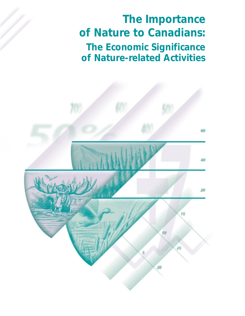*The Importance of Nature to Canadians: The Economic Significance of Nature-related Activities*

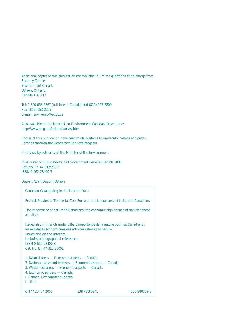Additional copies of this publication are available in limited quantities at no charge from: Enquiry Centre Environment Canada Ottawa, Ontario Canada KlA 0H3

Tel: 1 800 668-6767 (toll free in Canada) and (819) 997-2800 Fax: (819) 953-2225 E-mail: enviroinfo@ec.gc.ca

Also available on the Internet on Environment Canada's Green Lane: http://www.ec.gc.ca/nature/survey.htm

Copies of this publication have been made available to university, college and public libraries through the Depository Services Program.

Published by authority of the Minister of the Environment

© Minister of Public Works and Government Services Canada 2000 Cat. No. En 47-312/2000E ISBN 0-662-28400-3

Design: Acart Design, Ottawa

| <b>Canadian Cataloguing in Publication Data</b>                                                                                                                                    |                                                                                                                                                   |                           |
|------------------------------------------------------------------------------------------------------------------------------------------------------------------------------------|---------------------------------------------------------------------------------------------------------------------------------------------------|---------------------------|
|                                                                                                                                                                                    | Federal-Provincial-Territorial Task Force on the Importance of Nature to Canadians                                                                |                           |
| activities                                                                                                                                                                         | The importance of nature to Canadians: the economic significance of nature-related                                                                |                           |
| Issued also on the Internet.<br>Includes bibliographical references.<br>ISBN 0-662-28400-3<br>Cat. No. En 47-312/2000E                                                             | Issued also in French under title: L'importance de la nature pour les Canadiens :<br>les avantages économiques des activités reliées à la nature. |                           |
| 1. Natural areas — Economic aspects — Canada.<br>3. Wilderness areas — Economic aspects — Canada.<br>4. Economic surveys - Canada.<br>I. Canada. Environment Canada.<br>II. Title. | 2. National parks and reserves - Economic aspects - Canada.                                                                                       |                           |
| QH77.C3F74 2000                                                                                                                                                                    | 338.78'3'0971                                                                                                                                     | C <sub>00</sub> -980009-3 |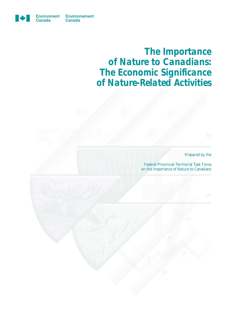

*The Importance of Nature to Canadians: The Economic Significance of Nature-Related Activities*

*Prepared by the*

Federal-Provincial-Territorial Task Force on the Importance of Nature to Canadians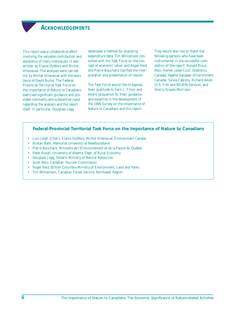### **ACKNOWLEDGEMENTS**

<span id="page-3-0"></span>This report was a collaborative effort involving the valuable contribution and assistance of many individuals. It was written by Elaine DuWors and Michel Villeneuve. The analyses were carried out by Michel Villeneuve with the assistance of David Burke. The Federal-Provincial-Territorial Task Force on the Importance of Nature to Canadians exercised significant guidance and provided comments and substantive input regarding the analysis and the report itself. In particular, Douglass Legg

developed a method for analyzing expenditure data, Tim Williamson consulted with the Task Force on the concept of economic value, and Roger Reid and Pierre Bouchard clarified the interpretation and presentation of results.

The Task Force would like to express their gratitude to Fern L. Filion and André Jacquemot for their guidance and expertise in the development of the 1996 Survey on the Importance of Nature to Canadians and this report.

They would also like to thank the following persons who have been instrumental in the successful completion of the report: Ronald Rioux, Marc Hamel, Jesse Coull (Statistics Canada), Agathe Galipeau (Environment Canada), Sylvia Cabrera, Richard Aiken (U.S. Fish and Wildlife Service), and Sherry Graves-Morrison.

### **Federal-Provincial-Territorial Task Force on the Importance of Nature to Canadians**

- Luis Leigh (Chair), Elaine DuWors, Michel Villeneuve, Environment Canada
- Alistair Bath, Memorial University of Newfoundland
- Pierre Bouchard, Ministère de l'Environnement et de la Faune du Québec
- Peter Boxall, University of Alberta, Dept. of Rural Economy
- Douglass Legg, Ontario Ministry of Natural Resources
- Scott Meis, Canadian Tourism Commission
- Roger Reid, British Columbia Ministry of Environment, Land and Parks
- Tim Williamson, Canadian Forest Service, Northwest Region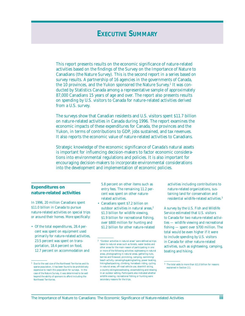# **EXECUTIVE SUMMARY**

<span id="page-4-0"></span>This report presents results on the economic significance of nature-related activities based on the findings of the Survey on the Importance of Nature to Canadians (the Nature Survey). This is the second report in a series based on survey results. A partnership of 16 agencies in the governments of Canada, the 10 provinces, and the Yukon sponsored the Nature Survey.<sup>1</sup> It was conducted by Statistics Canada among a representative sample of approximately 87,000 Canadians 15 years of age and over. The report also presents results on spending by U.S. visitors to Canada for nature-related activities derived from a U.S. survey.

The surveys show that Canadian residents and U.S. visitors spent \$11.7 billion on nature-related activities in Canada during 1996. The report examines the economic impacts of these expenditures for Canada, the provinces and the Yukon, in terms of contributions to GDP, jobs sustained, and tax revenues. It also reports the economic value of nature-related activities to Canadians.

Strategic knowledge of the economic significance of Canada's natural assets is important for influencing decision-makers to factor economic considerations into environmental regulations and policies. It is also important for encouraging decision-makers to incorporate environmental considerations into the development and implementation of economic policies.

### **Expenditures on nature-related activities**

In 1996, 20 million Canadians spent \$11.0 billion in Canada to pursue nature-related activities on special trips or around their homes. More specifically:

• Of the total expenditures, 28.4 percent was spent on equipment used primarily for nature-related activities, 23.5 percent was spent on transportation, 18.4 percent on food, 12.7 percent on accommodation and

5.8 percent on other items such as entry fees. The remaining 11.2 percent was spent on other naturerelated activities.

• Canadians spent \$7.2 billion on outdoor activities in natural areas,<sup>2</sup> \$1.3 billion for wildlife viewing, \$1.9 billion for recreational fishing, over \$800 million for hunting and \$1.2 billion for other nature-related

activities including contributions to nature-related organizations, sustaining land for conservation and residential wildlife-related activities.3

A survey by the U.S. Fish and Wildlife Service estimated that U.S. visitors to Canada for two nature-related activities — wildlife viewing and recreational fishing — spent over \$700 million. The total would be even higher if it were to include spending by U.S. visitors in Canada for other nature-related activities, such as sightseeing, camping, boating and hiking.

<sup>1</sup> Due to the vast size of the Northwest Territories and its sparse population, it has been found to be prohibitively expensive to reach this population for surveys. In the case of the Nature Survey, it was determined to be well beyond the ability of sponsors to afford including the Northwest Territories.

 $^{\rm 2-}$  "Outdoor activities in natural areas" were defined as trips taken to natural areas such as forests, water bodies and other areas for the main reason of participating in one or more of the following activities: sightseeing in natural areas, photographing in natural areas, gathering nuts, berries and firewood, picnicking, camping, swimming/ beach activity, canoeing/kayaking/sailing, power boating, hiking/backpacking, climbing, horseback riding, cycling in natural areas, off-road vehicle use, downhill skiing, x-country skiing/snowshoeing, snowmobiling and relaxing in an outdoor setting. Participants also indicated whether wildlife viewing, recreational fishing or hunting were secondary reasons for the trips.

<sup>3</sup> The total adds to more than \$11.0 billion for reasons explained in Section 2.1.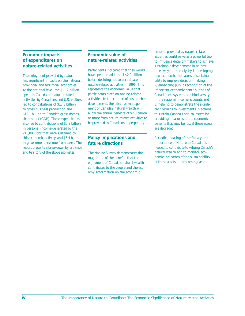### **Economic impacts of expenditures on nature-related activities**

The enjoyment provided by nature has significant impacts on the national, provincial and territorial economies. At the national level, the \$11.7 billion spent in Canada on nature-related activities by Canadians and U.S. visitors led to contributions of \$17.3 billion to gross business production and \$12.1 billion to Canada's gross domestic product (GDP). These expenditures also led to contributions of \$5.9 billion in personal income generated by the 215,000 jobs that were sustained by this economic activity, and \$5.4 billion in government revenue from taxes. The report presents a breakdown by province and territory of the above estimates.

### **Economic value of nature-related activities**

Participants indicated that they would have spent an additional \$2.0 billion before deciding not to participate in nature-related activities in 1996. This represents the economic value that participants place on nature-related activities. In the context of sustainable development, the effective management of Canada's natural wealth will allow the annual benefits of \$2.0 billion or more from nature-related activities to be provided to Canadians in perpetuity.

### **Policy implications and future directions**

The Nature Survey demonstrates the magnitude of the benefits that the enjoyment of Canada's natural wealth contributes to the people and the economy. Information on the economic

benefits provided by nature-related activities could serve as a powerful tool to influence decision-makers to achieve sustainable development in at least three ways — namely, by 1) developing new economic indicators of sustainability to improve decision-making, 2) enhancing public recognition of the important economic contributions of Canada's ecosystems and biodiversity in the national income accounts and 3) helping to demonstrate the significant returns to investments in actions to sustain Canada's natural assets by providing measures of the economic benefits that may be lost if these assets are degraded.

Periodic updating of the Survey on the Importance of Nature to Canadians is needed to contribute to valuing Canada's natural wealth and to monitor economic indicators of the sustainability of these assets in the coming years.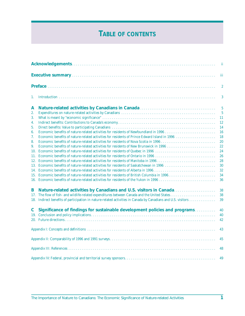# **TABLE OF CONTENTS**

|             |                                                                                                                                                                       | ii               |
|-------------|-----------------------------------------------------------------------------------------------------------------------------------------------------------------------|------------------|
|             |                                                                                                                                                                       | iii              |
|             |                                                                                                                                                                       | $\boldsymbol{2}$ |
| 1.          |                                                                                                                                                                       | 3                |
| A           |                                                                                                                                                                       | $\overline{5}$   |
| 2.          |                                                                                                                                                                       | $\overline{5}$   |
| 3.          |                                                                                                                                                                       | 11               |
| 4.          |                                                                                                                                                                       | <b>12</b>        |
| 5.          |                                                                                                                                                                       | 14               |
| 6.          |                                                                                                                                                                       | 16               |
| 7.          | Economic benefits of nature-related activities for residents of Prince Edward Island in 1996                                                                          | 18               |
| 8.          |                                                                                                                                                                       | 20               |
| 9.          | Economic benefits of nature-related activities for residents of New Brunswick in 1996                                                                                 | 22               |
| 11.         | 10. Economic benefits of nature-related activities for residents of Quebec in 1996<br>Economic benefits of nature-related activities for residents of Ontario in 1996 | 24<br>26         |
|             | 12. Economic benefits of nature-related activities for residents of Manitoba in 1996                                                                                  | 28               |
|             | 13. Economic benefits of nature-related activities for residents of Saskatchewan in 1996                                                                              | 30               |
|             |                                                                                                                                                                       | 32               |
|             | 15. Economic benefits of nature-related activities for residents of British Columbia in 1996                                                                          | 34               |
|             |                                                                                                                                                                       | 36               |
| B           | Nature-related activities by Canadians and U.S. visitors in Canada                                                                                                    | 38               |
| 17.         | The flow of fish- and wildlife-related expenditures between Canada and the United States                                                                              | 38               |
|             |                                                                                                                                                                       | 39               |
| $\mathbf C$ | Significance of findings for sustainable development policies and programs                                                                                            | 40               |
|             |                                                                                                                                                                       | 40               |
|             |                                                                                                                                                                       | 42               |
|             |                                                                                                                                                                       | 43               |
|             |                                                                                                                                                                       | 45               |
|             |                                                                                                                                                                       | 48               |
|             |                                                                                                                                                                       | 49               |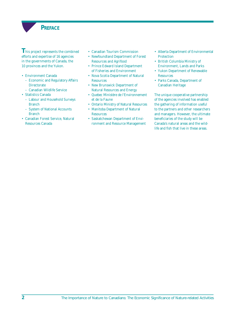

<span id="page-7-0"></span>**This project represents the combined** efforts and expertise of 16 agencies in the governments of Canada, the 10 provinces and the Yukon.

- Environment Canada
	- Economic and Regulatory Affairs **Directorate**
	- Canadian Wildlife Service
- Statistics Canada
	- Labour and Household Surveys Branch
	- System of National Accounts Branch
- Canadian Forest Service, Natural Resources Canada
- Canadian Tourism Commission
- Newfoundland Department of Forest Resources and Agrifood
- Prince Edward Island Department of Fisheries and Environment
- Nova Scotia Department of Natural **Resources**
- New Brunswick Department of Natural Resources and Energy
- Quebec Ministère de l'Environnement et de la Faune
- Ontario Ministry of Natural Resources
- Manitoba Department of Natural **Resources**
- Saskatchewan Department of Environment and Resource Management
- Alberta Department of Environmental **Protection**
- British Columbia Ministry of Environment, Lands and Parks
- Yukon Department of Renewable Resources
- Parks Canada, Department of Canadian Heritage

The unique cooperative partnership of the agencies involved has enabled the gathering of information useful to the partners and other researchers and managers. However, the ultimate beneficiaries of the study will be Canada's natural areas and the wildlife and fish that live in these areas.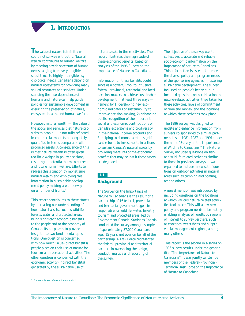# **1. INTRODUCTION**

<span id="page-8-0"></span>**T**he value of nature is infinite: we could not survive without it. Natural wealth contributes to human welfare by meeting a wide spectrum of human needs ranging from very tangible subsistence to highly intangible psychological needs. Canadians depend on natural ecosystems for providing many valued resources and services. Understanding the interdependence of humans and nature can help guide policies for sustainable development in ensuring the preservation of nature, ecosystem health, and human welfare.

However, natural wealth — the value of the goods and services that nature provides to people — is not fully reflected in commercial markets or adequately quantified in terms comparable with produced assets. A consequence of this is that natural wealth is often given too little weight in policy decisions, resulting in potential harm to current and future human welfare. Efforts to redress this situation by monetizing natural wealth and employing this information in sustainable development policy making are underway on a number of fronts.4

This report contributes to these efforts by increasing our understanding of how natural assets, such as wildlife, forests, water and protected areas, bring significant economic benefits to the people and to the economy of Canada. Its purpose is to provide insight into two fundamental questions. One question is concerned with how much value (direct benefits) people place on their use of nature for tourism and recreational activities. The other question is concerned with the economic activity (indirect benefits) generated by the sustainable use of

natural assets in these activities. The report illustrates the magnitude of these economic benefits, based on analyses of the 1996 Survey on the Importance of Nature to Canadians.

Information on these benefits could serve as a powerful tool to influence federal, provincial, territorial and local decision-makers to achieve sustainable development in at least three ways namely, by 1) developing new economic indicators of sustainability to improve decision-making, 2) enhancing public recognition of the important social and economic contributions of Canada's ecosystems and biodiversity in the national income accounts and 3) helping to demonstrate the significant returns to investments in actions to sustain Canada's natural assets by providing measures of the economic benefits that may be lost if these assets are degraded.

### **1.1**

### **Background**

The Survey on the Importance of Nature to Canadians is the result of a partnership of 16 federal, provincial and territorial government agencies responsible for wildlife, water, forestry, tourism and protected areas, led by Environment Canada. Statistics Canada conducted the survey among a sample of approximately 87,000 Canadians aged 15 years and over on behalf of the partnership. A Task Force represented the federal, provincial and territorial partners in overseeing the design, conduct, analysis and reporting of the survey.

The objective of the survey was to collect basic, accurate and reliable socio-economic information on the importance of nature to Canadians. This information is essential to meet the diverse policy and program needs of the sponsoring agencies in fostering sustainable development. The survey focussed on people's behaviour. It included questions on participation in nature-related activities, trips taken for these activities, levels of commitment of time and money, and the locations at which these activities took place.

The 1996 survey was designed to update and enhance information from surveys co-sponsored by similar partnerships in 1981, 1987 and 1991 under the name "Survey on the Importance of Wildlife to Canadians." The Nature Survey included questions on fishand wildlife-related activities similar to those in previous surveys. It was expanded to include a new set of questions on outdoor activities in natural areas such as camping and boating, among others.

A new dimension was introduced by including questions on the locations at which various nature-related activities took place. This will allow new policy and program needs to be met by enabling analyses of results by regions of interest to survey partners, such as ecozones, watersheds and subprovincial management regions, among many others.

This report is the second in a series on 1996 survey results under the generic title "The Importance of Nature to Canadians". It was jointly written by members of the Federal-Provincial-Territorial Task Force on the Importance of Nature to Canadians.

<sup>4</sup> For example, see reference 1 in Appendix III.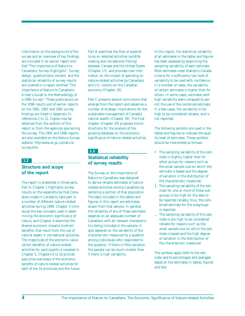Information on the background of the survey and an overview of key findings are included in an earlier report entitled "The Importance of Nature to Canadians: Survey Highlights". Survey design, questionnaire content, and the statistical reliability of survey results are covered in a report entitled "The Importance of Nature to Canadians: A User's Guide to the Methodology of a 1996 Survey". These publications on the 1996 results and of earlier reports on the 1981, 1987 and 1991 survey findings are listed in Appendix III, references 2 to 12. Copies may be obtained from the authors of this report or from the agencies sponsoring the survey. The 1991 and 1996 reports are also available on the Nature Survey website: http:/www.ec.gc.ca/nature/ survey.htm.

#### **1.2**

### **Structure and scope of the report**

The report is presented in three parts. Part A, Chapter 2 highlights survey results on the expenditures that Canadians made in Canada to take part in a number of different nature-related activities during 1996. Chapter 3 introduces the key concepts used in determining the economic significance of nature, and Chapter 4 examines the diverse economic impacts (indirect benefits) that result from the use of natural assets in recreational activities. The magnitude of the economic value (direct benefits) of nature-related activities for participants is revealed in Chapter 5. Chapters 6 to 16 provide executive overviews of the economic benefits of nature-related activities for each of the 10 provinces and the Yukon. Part B examines the flow of expenditures on selected activities (wildlife viewing and recreational fishing) between Canada and the United States (Chapter 17), and provides new information on the impact of spending on nature-related activities by Canadians and U.S. visitors on the Canadian economy (Chapter 18).

Part C presents several conclusions that emerge from the report and advances a number of strategic implications for the sustainable management of Canada's natural wealth (Chapter 19). The final chapter (Chapter 20) proposes future directions for the analysis of the growing database on the economic significance of nature-related activities.

### **1.3**

### **Statistical reliability of survey results**

The Survey on the Importance of Nature to Canadians was designed to derive reliable estimates of naturerelated activities among Canadians by sampling a portion of that population. The data included in the tables and figures in this report are *estimates* drawn from that sample. In general, the reliability of any of these estimates depends on an adequate number of Canadians with all relevant characteristics being included in the sample. It also depends on the variability of the characteristic measured by a question among individuals who responded to the question. If there is little variation, the sample can be much smaller than if there is high variability.

In this report, the statistical reliability of all estimates in the tables and figures has been assessed by examining the sampling variability of each estimate. Most estimates meet Statistics Canada criteria for a sufficiently low level of variability to be used with confidence. In a number of cases, the variability of certain estimates is higher than for others. In some cases, estimates with high variability were collapsed to permit the use of the combined estimate. In a few cases, the variability is too high to be considered reliable, and is not reported.

The following symbols are used in the tables and figures to indicate the quality level of estimates. These symbols should be interpreted as follows:

- \* The sampling variability of this estimate is slightly higher than for other groups for reasons such as the small sample size on which the estimate is based and the degree of variation in the distribution of the characteristic measured.
- The sampling variability of the estimate for one or more of these subgroups is too high for the data to be reported reliably; thus, the combined estimate for the subgroups is reported.
- ... The sampling variability of this estimate is too high to be considered reliable for reasons such as the small sample size on which the estimate is based and the high degree of variation in the distribution of the characteristic measured.

The symbols apply both to the estimate and to percentages and averages based on the estimates in tables, figures and text.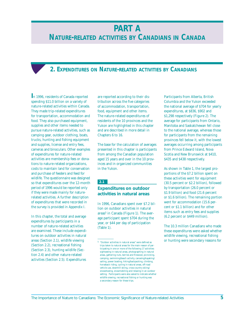# **PART A**

# <span id="page-10-0"></span>**NATURE-RELATED ACTIVITIES BY CANADIANS IN CANADA**

# **2. EXPENDITURES ON NATURE-RELATED ACTIVITIES BY CANADIANS**

**I**n 1996, residents of Canada reported spending \$11.0 billion on a variety of nature-related activities within Canada. They made trip-related expenditures for transportation, accommodation and food. They also purchased equipment, supplies and other items needed to pursue nature-related activities, such as camping gear, outdoor clothing, boats, trucks, hunting and fishing equipment and supplies, license and entry fees, cameras and binoculars. Other examples of expenditures for nature-related activities are membership fees or donations to nature-related organizations, costs to maintain land for conservation and purchase of feeders and feed for wildlife. The questionnaire was designed so that expenditures over the 12-month period of 1996 would be reported only if they were made *mainly* for naturerelated activities. A further description of expenditures that were recorded in the survey is provided in Appendix I.

In this chapter, the total and average expenditures by participants in a number of nature-related activities are examined. These include expenditures on outdoor activities in natural areas (Section 2.1), wildlife viewing (Section 2.2), recreational fishing (Section 2.3), hunting wildlife (Section 2.4) and other nature-related activities (Section 2.5). Expenditures

are reported according to their distribution across the five categories of accommodation, transportation, food, equipment and other items. The nature-related expenditures of residents of the 10 provinces and the Yukon are highlighted in this chapter and are described in more detail in Chapters 6 to 16.

The base for the calculation of averages presented in this chapter is participants from among the Canadian population aged 15 years and over in the 10 provinces and in organized communities in the Yukon.

### **2.1**

### **Expenditures on outdoor activities in natural areas**

In 1996, Canadians spent over \$7.2 billion on outdoor activities in natural areas<sup>5</sup> in Canada (Figure 1). The average participant spent \$704 during the year, or \$44 per day of participation (Table 1).

Participants from Alberta, British Columbia and the Yukon exceeded the national average of \$704 for yearly expenditures, at \$836, \$902 and \$1,298 respectively (Figure 2). The average for participants from Ontario, Manitoba and Saskatchewan fell close to the national average, whereas those for participants from the remaining provinces fell below it, with the lowest averages occurring among participants from Prince Edward Island, Nova Scotia and New Brunswick at \$410, \$435 and \$438 respectively.

As shown in Table 1, the largest proportions of the \$7.2 billion spent on these activities went for equipment (30.5 percent or \$2.2 billion), followed by transportation (26.0 percent or \$1.9 billion) and food (21.6 percent or \$1.6 billion). The remaining portion went for accommodation (15.6 percent or \$1.1 billion) and for other items such as entry fees and supplies (6.2 percent or \$449 million).

The 10.3 million Canadians who made these expenditures were asked whether wildlife viewing, recreational fishing or hunting were secondary reasons for

 $^{\rm 5-}$  "Outdoor activities in natural areas" were defined as trips taken to natural areas for the main reason of participating in one or more of the following 17 activities: sightseeing in natural areas, photographing in natural areas, gathering nuts, berries and firewood, picnicking, camping, swimming/beach activity, canoeing/kayaking/ sailing, power boating, hiking/backpacking, climbing, horseback riding, cycling in natural areas, off-road vehicle use, downhill skiing, cross-country skiing/ snowshoeing, snowmobiling and relaxing in an outdoor setting. Participants were also asked to indicate whether wildlife viewing, recreational fishing or hunting was a secondary reason for these trips.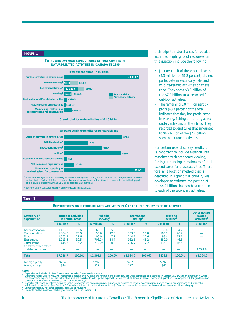#### **FIGURE 1**







1 Totals and averages for wildlife viewing, recreational fishing and hunting are for main and secondary activities combined,<br>as described in Section 2.1. For this reason, the sum of expenditures for the different types of of this figure is greater than the \$11.0 billion total for main activities.

See note on the statistical reliability of survey results in Section 1.3.

their trips to natural areas for outdoor activities. Highlights of responses on this question include the following:

- Just over half of these participants (5.3 million or 51.3 percent) did not participate in secondary fish- and wildlife-related activities on these trips. They spent \$3.0 billion of the \$7.2 billion total recorded for outdoor activities.
- The remaining 5.0 million participants (48.7 percent of the total) indicated that they had participated in viewing, fishing or hunting as secondary activities on their trips. They recorded expenditures that amounted to \$4.2 billion of the \$7.2 billion spent on outdoor activities.

For certain uses of survey results it is important to include expenditures associated with secondary viewing, fishing or hunting in estimates of total expenditures for these activities. Therefore, an allocation method that is described in Appendix II point 2, was developed to estimate the portion of the \$4.2 billion that can be attributed to each of the secondary activities.

#### **TABLE 1**

**EXPENDITURES ON NATURE-RELATED ACTIVITIES IN CANADA IN 1996, BY TYPE OF ACTIVITY1**

| <b>Category of</b><br>expenditure                                                                                           | <b>Outdoor activities</b><br>in natural areas     |                                     | <b>Wildlife</b><br>viewing $2$                 |                                    | Recreational<br>fishing $^2$              |                                     | <b>Hunting</b><br>wildlife <sup>2</sup> |                                     | Other nature-<br>related<br>activities <sup>3</sup> |
|-----------------------------------------------------------------------------------------------------------------------------|---------------------------------------------------|-------------------------------------|------------------------------------------------|------------------------------------|-------------------------------------------|-------------------------------------|-----------------------------------------|-------------------------------------|-----------------------------------------------------|
|                                                                                                                             | \$ million                                        | %                                   | \$ million                                     | %                                  | \$ million                                | %                                   | \$ million                              | %                                   | \$ million                                          |
| Accommodation<br><b>Transportation</b><br>Food<br>Equipment<br>Other items<br>Costs for other nature-<br>related activities | 1.133.9<br>1.884.8<br>1.565.9<br>2,213.5<br>448.6 | 15.6<br>26.0<br>21.6<br>30.5<br>6.2 | 65.7<br>155.6<br>100.0<br>$708.3*$<br>$272.2*$ | 5.0<br>12.0<br>7.7<br>54.4<br>20.9 | 157.5<br>363.5<br>244.7<br>932.5<br>236.7 | 8.1<br>18.8<br>12.6<br>48.2<br>12.2 | 39.0<br>166.5<br>99.4<br>382.9<br>136.1 | 4.7<br>20.2<br>12.1<br>46.5<br>16.5 | 1,224.9                                             |
| Total <sup>4</sup>                                                                                                          | \$7.246.7                                         | 100.0%                              | \$1,301.8                                      | 100.0%                             | \$1,934.9                                 | 100.0%                              | \$823.8                                 | 100.0%                              | \$1,224.9                                           |
| Average yearly<br>Average daily                                                                                             | \$704<br>\$44                                     |                                     | \$297<br>\$17                                  |                                    | \$462<br>\$27                             |                                     | \$692<br>\$41                           |                                     |                                                     |

Notes:<br>1 Expenditures included in Part A are those made by Canadians in Canada.<br>2 Expenditures for wildlife viewing, recreational fishing and hunting are for main and secondary activities combined as described in Section 2

wildlife-related activities (see Section 2.5 for a breakdown of the individual activities). Data on these activities were not broken down by expenditure category.<br>4 Some figures may not total perfectly because of rounding.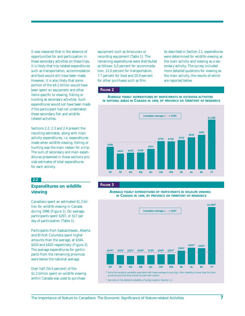It was reasoned that in the absence of opportunities for and participation in these secondary activities on these trips, it is likely that trip-related expenditures such as transportation, accommodation and food would still have been made. However, it is also likely that some portion of the \$4.2 billion would have been spent on equipment and other items specific to viewing, fishing or hunting as secondary activities. Such expenditures would not have been made if the participant had not undertaken these secondary fish and wildliferelated activities.

Sections 2.2, 2.3 and 2.4 present the resulting estimates, along with main activity expenditures, i.e. expenditures made when wildlife viewing, fishing or hunting was the main reason for a trip. The sum of secondary and main expenditures presented in those sections provide estimates of total expenditures for each activity.

### **2.2**

### **Expenditures on wildlife viewing**

Canadians spent an estimated \$1.3 billion for wildlife viewing in Canada during 1996 (Figure 1). On average, participants spent \$297, or \$17 per day of participation (Table 1).

Participants from Saskatchewan, Alberta and British Columbia spent higher amounts than the average, at \$344, \$433 and \$420 respectively (Figure 3). The average expenditures for participants from the remaining provinces were below the national average.

Over half (54.4 percent) of the \$1.3 billion spent on wildlife viewing within Canada was used to purchase

equipment such as binoculars or recording equipment (Table 1). The remaining expenditures were distributed as follows: 5.0 percent for accommodation, 12.0 percent for transportation, 7.7 percent for food and 20.9 percent for other purchases such as film.

As described in Section 2.1, expenditures were determined for wildlife viewing as the main activity and viewing as a secondary activity. The survey included more detailed questions for viewing as the main activity, the results of which are reported below.

### **FIGURE 2**

AVERAGE YEARLY EXPENDITURES BY PARTICIPANTS IN OUTDOOR ACTIVITIES IN NATURAL AREAS IN CANADA IN 1996, BY PROVINCE OR TERRITORY OF RESIDENCE



#### **FIGURE 3**

AVERAGE YEARLY EXPENDITURES BY PARTICIPANTS IN WILDLIFE VIEWING IN CANADA IN 1996, BY PROVINCE OR TERRITORY OF RESIDENCE

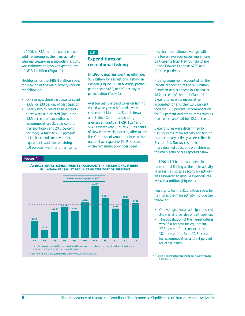In 1996, \$488.1 million was spent on wildlife viewing as the main activity, whereas viewing as a secondary activity was estimated to involve expenditures of \$813.7 million (Figure 1).

Highlights for the \$488.1 million spent for viewing as the main activity include the following:

- On average, these participants spent \$332, or \$30 per day of participation.
- Nearly two-thirds of their expenditures were trip-related (including 13.5 percent of expenditures for accommodation, 31.9 percent for transportation and 20.5 percent for food). A further  $28.1$  percent<sup>6</sup> of their expenditures were for equipment, and the remaining 6.0 percent7 went for other items.

### **2.3**

### **Expenditures on recreational fishing**

In 1996, Canadians spent an estimated \$1.9 billion for recreational fishing in Canada (Figure 1). On average, participants spent \$462, or \$27 per day of participation (Table 1).

Average yearly expenditures on fishing varied widely across Canada, with residents of Manitoba, Saskatchewan and British Columbia spending the greatest amounts at \$729, \$557 and \$545 respectively (Figure 4). Residents of New Brunswick, Ontario, Alberta and the Yukon spent amounts close to the national average of \$462. Residents of the remaining provinces spent

#### **FIGURE 4**





less than the national average, with the lowest averages occurring among participants from Newfoundland and Prince Edward Island at \$230 and \$114 respectively.

Fishing equipment accounted for the largest proportion of the \$1.9 billion Canadian anglers spent in Canada, at 48.2 percent of the total (Table 1). Expenditures on transportation accounted for a further 18.8 percent, food for 12.6 percent, accommodation for 8.1 percent and other items such as license fees and bait for 12.2 percent.

Expenditures were determined for fishing as the main activity and fishing as a secondary activity, as described in Section 2.1. Survey results from the more detailed questions on fishing as the main activity are reported below.

In 1996, \$1.3 billion was spent for recreational fishing as the main activity, whereas fishing as a secondary activity was estimated to involve expenditures of \$605.4 million (Figure 1).

Highlights for the \$1.3 billion spent for fishing as the main activity include the following:

- On average, these participants spent \$427, or \$40 per day of participation.
- The distribution of their expenditures was 36.0 percent for equipment, 27.3 percent for transportation, 18.4 percent for food, 11.8 percent for accommodation and 6.4 percent for other items.

6,7 See note on the statistical reliability of survey results in section 1.3, " $*$ "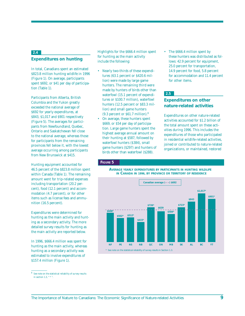### **2.4**

### **Expenditures on hunting**

In total, Canadians spent an estimated \$823.8 million hunting wildlife in 1996 (Figure 1). On average, participants spent \$692, or \$41 per day of participation (Table 1).

Participants from Alberta, British Columbia and the Yukon greatly exceeded the national average of \$692 for yearly expenditures, at \$843, \$1,017 and \$901 respectively (Figure 5). The averages for participants from Newfoundland, Quebec, Ontario and Saskatchewan fell close to the national average, whereas those for participants from the remaining provinces fell below it, with the lowest average occurring among participants from New Brunswick at \$415.

Hunting equipment accounted for 46.5 percent of the \$823.8 million spent within Canada (Table 1). The remaining amount went for trip-related expenses including transportation (20.2 percent), food (12.1 percent) and accommodation (4.7 percent), or for other items such as license fees and ammunition (16.5 percent).

Expenditures were determined for hunting as the main activity and hunting as a secondary activity. The more detailed survey results for hunting as the main activity are reported below.

In 1996, \$666.4 million was spent for hunting as the main activity, whereas hunting as a secondary activity was estimated to involve expenditures of \$157.4 million (Figure 1).

Highlights for the \$666.4 million spent for hunting as the main activity include the following:

- Nearly two-thirds of these expenditures (63.1 percent or \$420.6 million) were made by large game hunters. The remaining third were made by hunters of birds other than waterfowl (15.1 percent of expenditures or \$100.7 million), waterfowl hunters (12.5 percent or \$83.3 million) and small game hunters (9.3 percent or \$61.7 million).8
- On average, these hunters spent \$669, or \$54 per day of participation. Large game hunters spent the highest average annual amount on their hunting at \$587, followed by waterfowl hunters (\$384), small game hunters (\$297) and hunters of birds other than waterfowl (\$288).

**FIGURE 5**

• The \$666.4 million spent by these hunters was distributed as follows: 42.9 percent for equipment, 25.0 percent for transportation, 14.9 percent for food, 5.8 percent for accommodation and 11.4 percent for other items.

### **2.5**

### **Expenditures on other nature-related activities**

Expenditures on other nature-related activities accounted for \$1.2 billion of the total amount spent on these activities during 1996. This includes the expenditures of those who participated in residential wildlife-related activities, joined or contributed to nature-related organizations, or maintained, restored





 $^8\,$  See note on the statistical reliability of survey results in section 1.3, " \* ".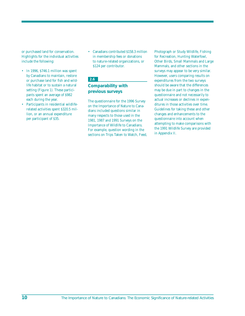or purchased land for conservation. Highlights for the individual activities include the following:

- In 1996, \$746.1 million was spent by Canadians to maintain, restore or purchase land for fish and wildlife habitat or to sustain a natural setting (Figure 1). These participants spent an average of \$982 each during the year.
- Participants in residential wildliferelated activities spent \$320.5 million, or an annual expenditure per participant of \$35.

• Canadians contributed \$158.3 million in membership fees or donations to nature-related organizations, or \$124 per contributor.

### **2.6**

### **Comparability with previous surveys**

The questionnaire for the 1996 Survey on the Importance of Nature to Canadians included questions similar in many respects to those used in the 1981, 1987 and 1991 Surveys on the Importance of Wildlife to Canadians. For example, question wording in the sections on Trips Taken to Watch, Feed, Photograph or Study Wildlife, Fishing for Recreation, Hunting Waterfowl, Other Birds, Small Mammals and Large Mammals, and other sections in the surveys may appear to be very similar. However, users comparing results on expenditures from the two surveys should be aware that the differences may be due in part to changes in the questionnaire and not necessarily to actual increases or declines in expenditures in those activities over time. Guidelines for taking these and other changes and enhancements to the questionnaire into account when attempting to make comparisons with the 1991 Wildlife Survey are provided in Appendix II.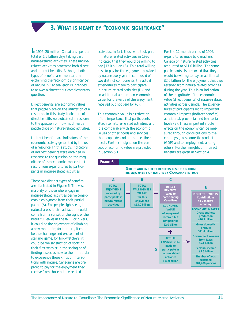# **3. WHAT IS MEANT BY "ECONOMIC SIGNIFICANCE"**

<span id="page-16-0"></span>**I**n 1996, 20 million Canadians spent a total of 1.5 billion days taking part in nature-related activities. These naturerelated activities generated both direct and indirect benefits. Although both types of benefits are important in explaining the "economic significance" of nature in Canada, each is intended to answer a different but complementary question.

Direct benefits are economic values that people place on the utilization of a resource. In this study, indicators of direct benefits were obtained in response to the question on how much value people place on nature-related activities.

Indirect benefits are indicators of the economic activity generated by the use of a resource. In this study, indicators of indirect benefits were obtained in response to the question on the magnitude of the economic impacts that result from expenditures by participants in nature-related activities.

These two distinct types of benefits are illustrated in Figure 6. The vast majority of those who engage in nature-related activities derive considerable enjoyment from their participation (A). For people sightseeing in natural areas, their satisfaction could come from a sunset or the sight of the beautiful leaves in the fall. For hikers, it could be the enjoyment of climbing a new mountain; for hunters, it could be the challenge and excitement of stalking game; for bird-watchers, it could be the satisfaction of spotting their first warbler in the spring or of finding a species new to them. In order to experience these kinds of interactions with nature, Canadians are prepared to pay for the enjoyment they receive from those nature-related

activities. In fact, those who took part in nature-related activities in 1996 indicated that they would be willing to pay \$13.0 billion (B). This total willingness to pay for the enjoyment provided by nature every year is composed of two distinct components: the actual expenditures made to participate in nature-related activities (D), and an additional amount, an economic value, for the value of the enjoyment received but not paid for (C).

This economic value is a reflection of the importance that participants attach to nature-related activities, and it is comparable with the economic values of other goods and services that people depend on to meet their needs. Further insights on the concept of economic value are provided in Section 5.1.

**FIGURE 6**

For the 12-month period of 1996, expenditures made by Canadians in Canada on nature-related activities amounted to \$11.0 billion. The same participants also reported that they would be willing to pay an additional \$2.0 billion for the enjoyment that they received from nature-related activities during the year. This is an indication of the magnitude of the economic value (direct benefits) of nature-related activities across Canada. The expenditures of participants led to important economic impacts (indirect benefits) at national, provincial and territorial levels (E). These important ripple effects on the economy can be measured through contributions to the country's gross domestic product (GDP) and to employment, among others. Further insights on indirect benefits are given in Section 4.1.



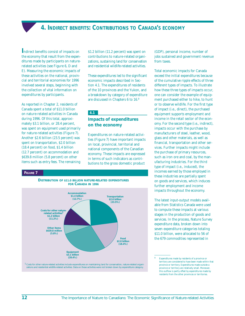**4. INDIRECT BENEFITS: CONTRIBUTIONS TO CANADA'S ECONOMY**

<span id="page-17-0"></span>**I**ndirect benefits consist of impacts on the economy that result from the expenditures made by participants on naturerelated activities (see Figure 6, D and E). Measuring the economic impacts of these activities on the national, provincial and territorial economies for 1996 involved several steps, beginning with the collection of vital information on expenditures by participants.

As reported in Chapter 2, residents of Canada spent a total of \$11.0 billion on nature-related activities in Canada during 1996. Of this total, approximately \$3.1 billion, or 28.4 percent, was spent on equipment used primarily for nature-related activities (Figure 7). Another \$2.6 billion (23.5 percent) was spent on transportation, \$2.0 billion (18.4 percent) on food, \$1.4 billion (12.7 percent) on accommodation and \$639.8 million (5.8 percent) on other items such as entry fees. The remaining

\$1.2 billion (11.2 percent) was spent on contributions to nature-related organizations, sustaining land for conservation and residential wildlife-related activities.

These expenditures led to the significant economic impacts described in Section 4.1. The expenditures of residents of the 10 provinces and the Yukon, and a breakdown by category of expenditure are discussed in Chapters 6 to 16.9

### **4.1**

### **Impacts of expenditures on the economy**

Expenditures on nature-related activities (Figure 7) have important impacts on local, provincial, territorial and national components of the Canadian economy. These impacts are expressed in terms of such indicators as contributions to the gross domestic product

#### **FIGURE 7**



zations and residential wildlife-related activities. Data on these activities were not broken down by expenditure category.

(GDP), personal income, number of jobs sustained and government revenue from taxes.

Total economic impacts for Canada exceed the initial expenditures because of the cumulative ripple effects of three different types of impacts. To illustrate how these three types of impacts occur, one can consider the example of equipment purchased either to hike, to hunt or to observe wildlife. For the first type of impact (i.e., direct), the purchased equipment supports employment and income in the retail sector of the economy. For the second type (i.e., indirect), impacts occur with the purchase by manufacturers of steel, leather, wood, glass and other materials, as well as financial, transportation and other services. Further impacts might include the purchase of primary resources, such as iron ore and coal, by the manufacturing industries. For the third type of impact (i.e., induced), the incomes earned by those employed in these industries are partially spent on goods and services, which induces further employment and income impacts throughout the economy.

The latest input-output models available from Statistics Canada were used to compute these impacts at various stages in the production of goods and services. In the process, Nature Survey expenditure data, broken down into seven expenditure categories totaling \$11.0 billion, were allocated to 56 of the 679 commodities represented in

<sup>9</sup> Expenditures made by residents of a province or territory are considered to have been made within that province or territory. Expenditures made outside a province or territory are relatively small. Moreover, this outflow is partly offset by expenditures made by residents from the other provinces or territories.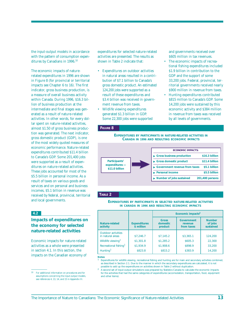the input-output models in accordance with the pattern of consumption expenditures by Canadians in 1996.<sup>10</sup>

The economic impacts of naturerelated expenditures in 1996 are shown in Figure 8 (for provincial or territorial impacts see Chapter 6 to 16). The first indicator, gross business production, is a measure of overall business activity within Canada. During 1996, \$16.3 billion of business production at the intermediate and final stages was generated as a result of nature-related activities. In other words, for every dollar spent on nature-related activities, almost \$1.50 of gross business production was generated. The next indicator, gross domestic product (GDP), is one of the most widely quoted measures of economic performance. Nature-related expenditures contributed \$11.4 billion to Canada's GDP. Some 201,400 jobs were supported as a result of expenditures on nature-related activities. These jobs accounted for most of the \$5.5 billion in personal income. As a result of taxes on various goods and services and on personal and business incomes, \$5.1 billion in revenue was received by federal, provincial, territorial and local governments.

**4.2**

### **Impacts of expenditures on the economy for selected nature-related activities**

Economic impacts for nature-related activities as a whole were presented in section 4.1. In this section, the impacts on the Canadian economy of

expenditures for selected nature-related activities are presented. The results as shown in Table 2 indicate that:

- Expenditures on outdoor activities in natural areas resulted in a contribution of \$7.1 billion to Canada's gross domestic product. An estimated 124,200 jobs were supported as a result of these expenditures and \$3.4 billion was received in government revenue from taxes.
- Wildlife viewing expenditures generated \$1.3 billion in GDP. Some 22,300 jobs were supported

and governments received over \$605 million in tax revenues.

- The economic impacts of recreational fishing expenditures included \$1.9 billion in contribution to the GDP and the support of some 33,200 jobs. Federal, provincial, territorial governments received nearly \$900 million in revenue from taxes.
- Hunting expenditures contributed \$815 million to Canada's GDP. Some 14,200 jobs were sustained by this economic activity and \$384 million in revenue from taxes was received by all levels of governments.

### **FIGURE 8**

**EXPENDITURES BY PARTICIPANTS IN NATURE-RELATED ACTIVITIES IN CANADA IN 1996 AND RESULTING ECONOMIC IMPACTS**



### **TABLE 2**

**EXPENDITURES BY PARTICIPANTS IN SELECTED NATURE-RELATED ACTIVITIES IN CANADA IN 1996 AND RESULTING ECONOMIC IMPACTS**

|                                               |                                   | Economic impacts <sup>2</sup>        |                                     |                                       |  |  |  |  |
|-----------------------------------------------|-----------------------------------|--------------------------------------|-------------------------------------|---------------------------------------|--|--|--|--|
| Nature-related<br>activity                    | <b>Expenditures</b><br>\$ million | <b>Gross</b><br>domestic.<br>product | Government<br>revenue<br>from taxes | <b>Number</b><br>of jobs<br>sustained |  |  |  |  |
| <b>Outdoor activities</b><br>in natural areas | \$7.246.7                         | \$7,145.2                            | \$3,365.1                           | 124,200                               |  |  |  |  |
| Wildlife viewing <sup>1</sup>                 | \$1,301.8                         | \$1,285.2                            | \$605.3                             | 22,300                                |  |  |  |  |
| Recreational fishing <sup>1</sup>             | \$1,934.9                         | \$1,908.6                            | \$898.9                             | 33,200                                |  |  |  |  |
| Hunting <sup>1</sup>                          | \$823.8                           | \$815.2                              | \$383.9                             | 14,200                                |  |  |  |  |

**Notes:**

<sup>10</sup> For additional information on procedures and for assumptions concerning the input-output models, see references 4, 13, 14, and 15 in Appendix III.

<sup>&</sup>lt;sup>1</sup> Expenditures for wildlife viewing, recreational fishing and hunting are for main and secondary activities combined, as described in Section 2.1. Due to the manner in which the secondary expenditures are calculated, it is not possible to add up the expenditures on activities shown in Table 2 without duplication.

<sup>&</sup>lt;sup>2</sup> A second set of input-output simulations was prepared by Statistics Canada to calculate the economic impacts for the activities that had the same categories of expenditures (accomodation, transportation, food, equipment and other items).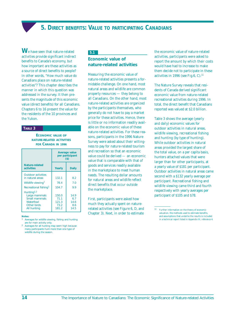**5. DIRECT BENEFITS: VALUE TO PARTICIPATING CANADIANS**

<span id="page-19-0"></span>**W**e have seen that nature-related activities provide significant indirect benefits to Canada's economy, but how important are these activities as a source of direct benefits to people? In other words, "How much value do Canadians place on nature-related activities"? This chapter describes the manner in which this question was addressed in the survey. It then presents the magnitude of this economic value (direct benefits) for all Canadians. Chapters 6 to 16 present the value for the residents of the 10 provinces and the Yukon.

### **TABLE 3**

**ECONOMIC VALUE OF NATURE-RELATED ACTIVITIES FOR CANADA IN 1996**

|                                                                                                            |                                         | <b>Average value</b><br>per participant<br>$($ \$) |
|------------------------------------------------------------------------------------------------------------|-----------------------------------------|----------------------------------------------------|
| Nature-related<br>activities                                                                               | Yearly                                  | <b>Daily</b>                                       |
| <b>Outdoor activities</b><br>in natural areas                                                              | 132.1                                   | 8.2                                                |
| Wildlife viewing <sup>1</sup>                                                                              | 78.4                                    | 7.0                                                |
| Recreational fishing <sup>1</sup>                                                                          | 104.7                                   | 99                                                 |
| Hunting <sup>1,2</sup><br>Large mammals<br>Small mammals<br>Waterfowl<br>Other birds<br><b>All hunting</b> | 150.0<br>71.1<br>121.3<br>73.2<br>181.2 | 14.9<br>6.7<br>14.6<br>8.6<br>14.5                 |

#### **Notes:**

Averages for wildlife viewing, fishing and hunting are for main activity only.

2 Averages for all hunting may seem high because many participants hunt more than one type of wildlife during the season.

### **5.1**

### **Economic value of nature-related activities**

Measuring the economic value of nature-related activities presents a formidable challenge. On one hand, most natural areas and wildlife are common property resources — they belong to all Canadians. On the other hand, most nature-related activities are organized by the participants themselves, who generally do not have to pay a market price for these activities. Hence, there is little or no information readily available on the economic value of these nature-related activities. For these reasons, participants in the 1996 Nature Survey were asked about their willingness to pay for nature-related tourism and recreation so that an economic value could be derived — an economic value that is comparable with that of goods and services readily available in the marketplace to meet human needs. The resulting dollar amounts for natural areas and wildlife reflect direct benefits that occur outside the marketplace.

First, participants were asked how much they actually spent on naturerelated activities (see Figure 6, D, and Chapter 3). Next, in order to estimate the economic value of nature-related activities, participants were asked to report the amount by which their costs would have had to increase to make them decide not to participate in these activities in 1996 (see Fig.6,  $C$ ).<sup>11</sup>

The Nature Survey reveals that residents of Canada derived significant economic value from nature-related recreational activities during 1996. In total, the direct benefit that Canadians reported was valued at \$2.0 billion.

Table 3 shows the average (yearly and daily) economic values for outdoor activities in natural areas, wildlife viewing, recreational fishing and hunting (by type of hunting). While outdoor activities in natural areas provided the largest share of the total value, on a per capita basis, hunters attached values that were larger than for other participants, at a yearly value of \$181 per participant. Outdoor activities in natural areas came second with a \$132 yearly average per participant. Recreational fishing and wildlife viewing came third and fourth respectively with yearly averages per participant of \$105 and \$78.

<sup>11</sup> Further information on the theory of economic valuation, the methods used to estimate benefits, and assumptions that underlie the results is included in a technical report listed in Appendix III, reference 4.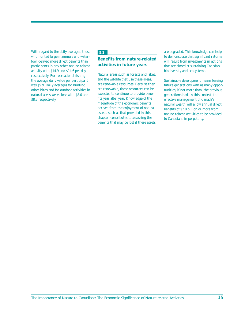With regard to the daily averages, those who hunted large mammals and waterfowl derived more direct benefits than participants in any other nature-related activity with \$14.9 and \$14.6 per day respectively. For recreational fishing, the average daily value per participant was \$9.9. Daily averages for hunting other birds and for outdoor activities in natural areas were close with \$8.6 and \$8.2 respectively.

### **5.2**

### **Benefits from nature-related activities in future years**

Natural areas such as forests and lakes, and the wildlife that use these areas, are renewable resources. Because they are renewable, these resources can be expected to continue to provide benefits year after year. Knowledge of the magnitude of the economic benefits derived from the enjoyment of natural assets, such as that provided in this chapter, contributes to assessing the benefits that may be lost if these assets

are degraded. This knowledge can help to demonstrate that significant returns will result from investments in actions that are aimed at sustaining Canada's biodiversity and ecosystems.

Sustainable development means leaving future generations with as many opportunities, if not more than, the previous generations had. In this context, the effective management of Canada's natural wealth will allow annual direct benefits of \$2.0 billion or more from nature-related activities to be provided to Canadians in perpetuity.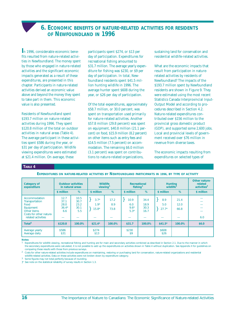### **6. ECONOMIC BENEFITS OF NATURE-RELATED ACTIVITIES FOR RESIDENTS OF NEWFOUNDLAND IN 1996**

<span id="page-21-0"></span>**I**n 1996, considerable economic benefits resulted from nature-related activities in Newfoundland. The money spent by those who engaged in nature-related activities and the significant economic impacts generated as a result of these expenditures, are presented in this chapter. Participants in nature-related activities derived an economic value above and beyond the money they spent to take part in them. This economic value is also presented.

Residents of Newfoundland spent \$193.7 million on nature-related activities during 1996. They spent \$120.8 million of the total on outdoor activities in natural areas (Table 4). The average participant in these activities spent \$586 during the year, or \$31 per day of participation. Wildlife viewing expenditures were estimated at \$21.4 million. On average, these

participants spent \$274, or \$13 per day of participation. Expenditures for recreational fishing amounted to \$31.7 million. The average yearly expenditure for fishing was \$230, or \$9 per day of participation. In total, Newfoundland residents spent \$41.5 million hunting wildlife in 1996. The average hunter spent \$608 during the year, or \$26 per day of participation.

Of the total expenditures, approximately \$58.7 million, or 30.0 percent, was spent on transportation used primarily for nature-related activities. Another \$57.8 million (29.8 percent) was spent on equipment, \$40.8 million (21.1 percent) on food, \$15.9 million (8.2 percent) on other items such as entry fees and \$14.5 million (7.5 percent) on accommodation. The remaining \$6.0 million (3.1 percent) was spent on contributions to nature-related organizations,

sustaining land for conservation and residential wildlife-related activities.

What are the economic impacts that result from participation in naturerelated activities by residents of Newfoundland? The impacts of the \$193.7 million spent by Newfoundland residents are shown in Figure 9. They were estimated using the most recent Statistics Canada Interprovincial Input-Output Model and according to procedures described in Section 4.2. Nature-related expenditures contributed over \$156 million to the provincial gross domestic product (GDP), and supported some 2,600 jobs. Local and provincial levels of government received over \$76 million in revenue from diverse taxes.

The economic impacts resulting from expenditures on selected types of

#### **TABLE 4**

**EXPENDITURES ON NATURE-RELATED ACTIVITIES BY NEWFOUNDLAND PARTICIPANTS IN 1996, BY TYPE OF ACTIVITY**

| <b>Category of</b><br>expenditure                                                                                    | <b>Outdoor activities</b><br>in natural areas<br>%<br>\$ million |                                     | <b>Wildlife</b><br>viewing <sup>1</sup> |                     | Recreational<br>fishing <sup>1</sup> |                              | <b>Hunting</b><br>wildlife <sup>1</sup> |                      | Other nature-<br>related<br>activities <sup>2</sup> |
|----------------------------------------------------------------------------------------------------------------------|------------------------------------------------------------------|-------------------------------------|-----------------------------------------|---------------------|--------------------------------------|------------------------------|-----------------------------------------|----------------------|-----------------------------------------------------|
|                                                                                                                      |                                                                  |                                     | \$ million                              | %                   | \$ million                           | %                            | \$ million                              | %                    | \$ million                                          |
| Accommodation<br>Transportation<br>Food<br>Equipment<br>Other items<br>Costs for other nature-<br>related activities | 12.7<br>37.1<br>28.0<br>$36.4*$<br>6.6                           | 10.5<br>30.7<br>23.2<br>30.1<br>5.5 | $3.7*$<br>$1.9*$<br>$15.8*$             | 17.2<br>8.9<br>73.8 | 10.9<br>6.0<br>$9.6*$<br>$5.3*$      | 34.4<br>18.9<br>30.3<br>16.7 | 8.9<br>5.0<br>$27.7*$                   | 21.4<br>12.0<br>66.8 | 6.0                                                 |
| Total $3$                                                                                                            | \$120.8                                                          | 100.0%                              | $$21.4*$                                | 100.0%              | \$31.7                               | 100.0%                       | $$41.5*$                                | 100.0%               | \$6.0                                               |
| Average yearly<br>Average daily                                                                                      | \$586<br>\$31                                                    |                                     | \$274<br>\$13                           |                     | \$230<br>\$9                         |                              | \$608<br>\$26                           |                      |                                                     |

**Notes:** 

Expenditures for wildlife viewing, recreational fishing and hunting are for main and secondary activities combined as described in Section 2.1. Due to the manner in which the secondary expenditures were calculated, it is not possible to add up the expenditures on activities shown in Table 4 without duplication. See Appendix II for guidelines on comparing these results with those from previous surveys.

2 Costs for other nature-related activities include expenditures on maintaining, restoring or purchasing land for conservation, nature-related organizations and residential wildlife-related activities. Data on these activities were not broken down by expenditure category.

3 Some figures may not total perfectly because of rounding.

}\* See note on the statistical reliability of survey results in Section 1.3.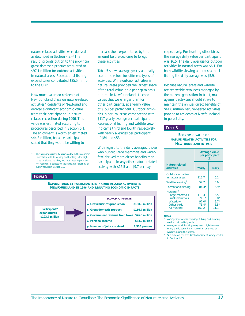nature-related activities were derived as described in Section 4.2.12 The resulting contribution to the provincial gross domestic product amounted to \$97.1 million for outdoor activities in natural areas. Recreational fishing expenditures contributed \$25.5 million to the GDP.

How much value do residents of Newfoundland place on nature-related activities? Residents of Newfoundland derived significant economic value from their participation in naturerelated recreation during 1996. This value was estimated according to procedures described in Section 5.1. The enjoyment is worth an estimated \$44.8 million, because participants stated that they would be willing to

#### **FIGURE 9**

#### **EXPENDITURES BY PARTICIPANTS IN NATURE-RELATED ACTIVITIES IN NEWFOUNDLAND IN 1996 AND RESULTING ECONOMIC IMPACTS**



increase their expenditures by this amount before deciding to forego these activities.

Table 5 shows average yearly and daily economic values for different types of activities. While outdoor activities in natural areas provided the largest share of the total value, on a per capita basis, hunters in Newfoundland attached values that were larger than for other participants, at a yearly value of \$150 per participant. Outdoor activities in natural areas came second with \$117 yearly average per participant. Recreational fishing and wildlife viewing came third and fourth respectively with yearly averages per participant of \$84 and \$53.

With regard to the daily averages, those who hunted large mammals and waterfowl derived more direct benefits than participants in any other nature-related activity with \$15.5 and \$9.7 per day

respectively. For hunting other birds, the average daily value per participant was \$6.5. The daily average for outdoor activities in natural areas was \$6.1. For both wildlife viewing and recreational fishing the daily average was \$5.9.

Because natural areas and wildlife are renewable resources managed by the current generation in trust, management activities should strive to maintain the annual direct benefits of \$44.8 million nature-related activities provide to residents of Newfoundland in perpetuity.

### **TABLE 5**

### **ECONOMIC VALUE OF NATURE-RELATED ACTIVITIES FOR NEWFOUNDLAND IN 1996**

|                                                                                                     |                                                 | Average value<br>per participant<br>$($)$  |
|-----------------------------------------------------------------------------------------------------|-------------------------------------------------|--------------------------------------------|
| Nature-related<br>activities                                                                        | Yearly                                          | <b>Daily</b>                               |
| <b>Outdoor activities</b><br>in natural areas                                                       | 116.7                                           | 6.1                                        |
| Wildlife viewing <sup>1</sup>                                                                       | 52.7                                            | 59                                         |
| Recreational fishing <sup>1</sup>                                                                   | $84.3*$                                         | $59*$                                      |
| Hunting <sup>1,2</sup><br>Large mammals<br>Small mammals<br>Waterfowl<br>Other birds<br>All hunting | 118.3<br>$71.1*$<br>$97.0*$<br>$75.4*$<br>150.2 | 15.5<br>$3.8*$<br>$9.7*$<br>$6.5*$<br>11.1 |

#### **Notes:**

1 Averages for wildlife viewing, fishing and hunting are for main activity only.

2 Averages for all hunting may seem high because many participants hunt more than one type of wildlife during the season.

See note on the statistical reliability of survey results in Section 1.3.

<sup>12</sup> The sampling variability associated with the economic impacts for wildlife viewing and hunting is too high to be considered reliable, and thus these impacts are not reported. See note on the statistical reliability of survey results in Section 1.3.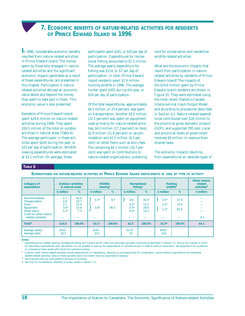### **7. ECONOMIC BENEFITS OF NATURE-RELATED ACTIVITIES FOR RESIDENTS OF PRINCE EDWARD ISLAND IN 1996**

<span id="page-23-0"></span>**I**n 1996, considerable economic benefits resulted from nature-related activities in Prince Edward Island. The money spent by those who engaged in naturerelated activities and the significant economic impacts generated as a result of these expenditures, are presented in this chapter. Participants in naturerelated activities derived an economic value above and beyond the money they spent to take part in them. This economic value is also presented.

Residents of Prince Edward Island spent \$24.6 million on nature-related activities during 1996. They spent \$16.5 million of the total on outdoor activities in natural areas (Table 6). The average participant in these activities spent \$410 during the year, or \$23 per day of participation. Wildlife viewing expenditures were estimated at \$3.1 million. On average, these

participants spent \$241, or \$10 per day of participation. Expenditures for recreational fishing amounted to \$1.5 million. The average yearly expenditure for fishing was \$114, or \$7 per day of participation. In total, Prince Edward Island residents spent \$1.9 million hunting wildlife in 1996. The average hunter spent \$502 during the year, or \$24 per day of participation.

Of the total expenditures, approximately \$6.3 million, or 25.4 percent, was spent on transportation. Another \$5.5 million (22.5 percent) was spent on equipment used primarily for nature-related activities, \$4.3 million (17.3 percent) on food, \$2.9 million (11.8 percent) on accommodation and \$1.5 million (6.3 percent) on other items such as entry fees. The remaining \$4.1 million (16.7 percent) was spent on contributions to nature-related organizations, sustaining land for conservation and residential wildlife-related activities.

What are the economic impacts that result from participation in naturerelated activities by residents of Prince Edward Island? The impacts of the \$24.6 million spent by Prince Edward Island residents are shown in Figure 10. They were estimated using the most recent Statistics Canada Interprovincial Input-Output Model and according to procedures described in Section 4.2. Nature-related expenditures contributed over \$26 million to the provincial gross domestic product (GDP), and supported 700 jobs. Local and provincial levels of government received \$9 million in revenue from diverse taxes.

The economic impacts resulting from expenditures on selected types of

### **TABLE 6**

| <b>Category of</b><br>expenditure                                                                                    | <b>Outdoor activities</b><br>in natural areas<br>% |                                     | <b>Wildlife</b><br>$view$ ing <sup>1</sup> |             | Recreational<br>fishing <sup>1</sup> |                              | <b>Hunting</b><br>wildlife <sup>1</sup> |                      | Other nature-<br>related<br>activities <sup>2</sup> |
|----------------------------------------------------------------------------------------------------------------------|----------------------------------------------------|-------------------------------------|--------------------------------------------|-------------|--------------------------------------|------------------------------|-----------------------------------------|----------------------|-----------------------------------------------------|
|                                                                                                                      | \$ million                                         |                                     | \$ million                                 | %           | \$ million                           | %                            | \$ million                              | %                    | \$ million                                          |
| Accommodation<br>Transportation<br>Food<br>Equipment<br>Other items<br>Costs for other nature-<br>related activities | 2.7<br>4.9<br>3.7<br>$3.9*$<br>$1.2*$              | 16.4<br>29.7<br>22.4<br>23.6<br>7.3 | $0.3*$<br>$2.8*$                           | 9.7<br>90.3 | 0.6<br>$0.2*$<br>$0.4*$<br>$0.2*$    | 42.8<br>14.3<br>28.6<br>14.3 | $0.5*$<br>$0.2*$<br>$1.2*$              | 27.0<br>10.4<br>62.5 | 4.1                                                 |
| Total $3$                                                                                                            | \$16.5                                             | 100.0%                              | $$3.1*$                                    | 100.0%      | \$1.5                                | 100.0%                       | $$1.9*$                                 | 100.0%               | \$4.1                                               |
| Average yearly<br>Average daily                                                                                      | \$410<br>\$23                                      |                                     | \$241<br>\$10                              |             | \$114<br>\$7                         |                              | \$502<br>\$24                           |                      |                                                     |

**EXPENDITURES ON NATURE-RELATED ACTIVITIES BY PRINCE EDWARD ISLAND PARTICIPANTS IN 1996, BY TYPE OF ACTIVITY**

**Notes:** 

Expenditures for wildlife viewing, recreational fishing and hunting are for main and secondary activities combined as described in Section 2.1. Due to the manner in which the secondary expenditures were calculated, it is not possible to add up the expenditures on activities shown in Table 6 without duplication. See Appendix II for guidelines on comparing these results with those from previous surveys.

2 Costs for other nature-related activities include expenditures on maintaining, restoring or purchasing land for conservation, nature-related organizations and residential wildlife-related activities. Data on these activities were not broken down by expenditure category.

3 Some figures may not total perfectly because of rounding.

}\* See note on the statistical reliability of survey results in Section 1.3.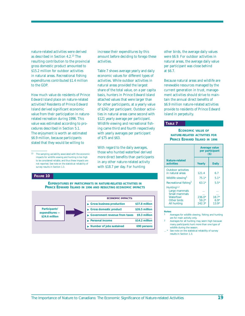nature-related activities were derived as described in Section 4.2.13 The resulting contribution to the provincial gross domestic product amounted to \$15.2 million for outdoor activities in natural areas. Recreational fishing expenditures contributed \$1.4 million to the GDP.

How much value do residents of Prince Edward Island place on nature-related activities? Residents of Prince Edward Island derived significant economic value from their participation in naturerelated recreation during 1996. This value was estimated according to procedures described in Section 5.1. The enjoyment is worth an estimated \$6.9 million, because participants stated that they would be willing to

#### **FIGURE 10**

#### **EXPENDITURES BY PARTICIPANTS IN NATURE-RELATED ACTIVITIES IN PRINCE EDWARD ISLAND IN 1996 AND RESULTING ECONOMIC IMPACTS**

activities.

of \$75 and \$63.

With regard to the daily averages, those who hunted waterfowl derived more direct benefits than participants in any other nature-related activity with \$18.7 per day. For hunting

Table 7 shows average yearly and daily economic values for different types of activities. While outdoor activities in natural areas provided the largest share of the total value, on a per capita basis, hunters in Prince Edward Island attached values that were larger than for other participants, at a yearly value of \$242 per participant. Outdoor activities in natural areas came second with \$121 yearly average per participant. Wildlife viewing and recreational fishing came third and fourth respectively with yearly averages per participant



increase their expenditures by this amount before deciding to forego these other birds, the average daily values were \$6.9. For outdoor activities in natural areas, the average daily value per participant was close behind

at \$6.7.

Because natural areas and wildlife are renewable resources managed by the current generation in trust, management activities should strive to maintain the annual direct benefits of \$6.9 million nature-related activities provide to residents of Prince Edward Island in perpetuity.

### **TABLE 7**

### **ECONOMIC VALUE OF NATURE-RELATED ACTIVITIES FOR PRINCE EDWARD ISLAND IN 1996**

|                                                                                                     | <b>Average value</b><br>per participant<br>$($)$ |                              |  |  |  |
|-----------------------------------------------------------------------------------------------------|--------------------------------------------------|------------------------------|--|--|--|
| Nature-related<br>activities                                                                        | Yearly                                           | <b>Daily</b>                 |  |  |  |
| <b>Outdoor activities</b><br>in natural areas                                                       | 121.4                                            | 6.7                          |  |  |  |
| Wildlife viewing <sup>1</sup>                                                                       | $75.1*$                                          | $5.1*$                       |  |  |  |
| Recreational fishing <sup>1</sup>                                                                   | $63.1*$                                          | $5.5*$                       |  |  |  |
| Hunting <sup>1,2</sup><br>Large mammals<br>Small mammals<br>Waterfowl<br>Other birds<br>All hunting | $236.0*$<br>$59.2*$<br>$242.3*$                  | $18.7*$<br>$6.9*$<br>$13.9*$ |  |  |  |

#### **Notes:**

- Averages for wildlife viewing, fishing and hunting are for main activity only.
- Averages for all hunting may seem high because many participants hunt more than one type of wildlife during the season.
- See note on the statistical reliability of survey results in Section 1.3.

<sup>13</sup> The sampling variability associated with the economic impacts for wildlife viewing and hunting is too high to be considered reliable, and thus these impacts are not reported. See note on the statistical reliability of survey results in Section 1.3.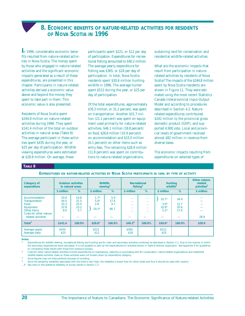### **8. ECONOMIC BENEFITS OF NATURE-RELATED ACTIVITIES FOR RESIDENTS OF NOVA SCOTIA IN 1996**

<span id="page-25-0"></span>**I**n 1996, considerable economic benefits resulted from nature-related activities in Nova Scotia. The money spent by those who engaged in nature-related activities and the significant economic impacts generated as a result of these expenditures, are presented in this chapter. Participants in nature-related activities derived a economic value above and beyond the money they spent to take part in them. This economic value is also presented.

Residents of Nova Scotia spent \$244.8 million on nature-related activities during 1996. They spent \$141.4 million of the total on outdoor activities in natural areas (Table 8). The average participant in these activities spent \$435 during the year, or \$25 per day of participation. Wildlife viewing expenditures were estimated at \$28.8 million. On average, these

participants spent \$221, or \$12 per day of participation. Expenditures for recreational fishing amounted to \$40.2 million. The average yearly expenditure for fishing was \$365, or \$18 per day of participation. In total, Nova Scotia residents spent \$30.6 million hunting wildlife in 1996. The average hunter spent \$512 during the year, or \$25 per day of participation.

Of the total expenditures, approximately \$76.3 million, or 31.2 percent, was spent on transportation. Another \$51.7 million (21.1 percent) was spent on equipment used primarily for nature-related activities, \$46.1 million (18.8 percent) on food, \$26.8 million (10.9 percent) on accommodation and \$15.0 million (6.1 percent) on other items such as entry fees. The remaining \$28.9 million (11.8 percent) was spent on contributions to nature-related organizations,

sustaining land for conservation and residential wildlife-related activities.

What are the economic impacts that result from participation in naturerelated activities by residents of Nova Scotia? The impacts of the \$244.8 million spent by Nova Scotia residents are shown in Figure 11. They were estimated using the most recent Statistics Canada Interprovincial Input-Output Model and according to procedures described in Section 4.2. Naturerelated expenditures contributed \$242 million to the provincial gross domestic product (GDP), and supported 4,900 jobs. Local and provincial levels of government received almost \$82 million in revenue from diverse taxes.

The economic impacts resulting from expenditures on selected types of

### **TABLE 8**

**EXPENDITURES ON NATURE-RELATED ACTIVITIES BY NOVA SCOTIA PARTICIPANTS IN 1996, BY TYPE OF ACTIVITY**

| <b>Category of</b><br>expenditure                                                                                    | <b>Outdoor activities</b><br>in natural areas |                                     | <b>Wildlife</b><br>viewing <sup>1</sup> |                            | Recreational<br>fishing <sup>1</sup>                                               |                                                                            | <b>Hunting</b><br>wildlife <sup>1</sup> |                              | Other nature-<br>related<br>activities <sup>2</sup> |
|----------------------------------------------------------------------------------------------------------------------|-----------------------------------------------|-------------------------------------|-----------------------------------------|----------------------------|------------------------------------------------------------------------------------|----------------------------------------------------------------------------|-----------------------------------------|------------------------------|-----------------------------------------------------|
|                                                                                                                      | \$ million                                    | %                                   | \$ million                              | %                          | \$ million                                                                         | %                                                                          | \$ million                              | %                            | \$ million                                          |
| Accommodation<br>Transportation<br>Food<br>Equipment<br>Other items<br>Costs for other nature-<br>related activities | 20.9<br>44.5<br>35.3<br>32.8<br>8.0           | 14.8<br>31.5<br>25.0<br>23.2<br>5.7 | $1.7*$<br>$5.0*$<br>2.8<br>$19.2*$      | 5.9<br>17.4<br>9.7<br>66.7 | $\mathbf{r}$<br><b>A 6 6 1</b><br>$\mathbf{r}$<br><b>A 6 6 1</b><br><b>A 6 6 1</b> | <b>A 6 6 1</b><br>$\sim$<br>$\mathbf{r}$<br>$\sim$ $\sim$<br>$\sim$ $\sim$ | $10.7*$<br>$3.9*$<br>$10.9*$<br>$5.2*$  | 34.9<br>12.7<br>35.6<br>17.0 | 28.9                                                |
| Total $3$                                                                                                            | \$141.4                                       | 100.0%                              | $$28.8*$                                | 100.0%                     | \$40.2 <sup>4</sup>                                                                | 100.0%                                                                     | $$30.6*$                                | 100.0%                       | \$28.9                                              |
| Average yearly<br>Average daily                                                                                      | \$435<br>\$25                                 |                                     | \$221<br>\$12                           |                            | \$365<br>\$18                                                                      |                                                                            | \$512<br>\$25                           |                              |                                                     |

**Notes:** 

Expenditures for wildlife viewing, recreational fishing and hunting are for main and secondary activities combined as described in Section 2.1. Due to the manner in which the secondary expenditures were calculated, it is not possible to add up the expenditures on activities shown in Table 8 without duplication. See Appendix II for guidelines on comparing these results with those from previous surveys.

2 Costs for other nature-related activities include expenditures on maintaining, restoring or purchasing land for conservation, nature-related organizations and residential wildlife-related activities. Data on these activities were not broken down by expenditure category.

3 Some figures may not total perfectly because of rounding.

Since the sampling variability associated with this total is very high, the reliability is lower than for other totals and thus it should be used with caution.

...}\* See note on the statistical reliability of survey results in Section 1.3.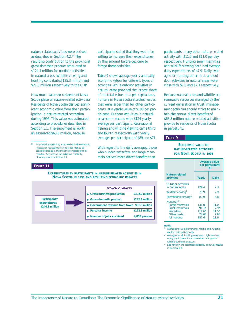nature-related activities were derived as described in Section 4.2.14 The resulting contribution to the provincial gross domestic product amounted to \$124.4 million for outdoor activities in natural areas. Wildlife viewing and hunting contributed \$25.3 million and \$27.0 million respectively to the GDP.

How much value do residents of Nova Scotia place on nature-related activities? Residents of Nova Scotia derived significant economic value from their participation in nature-related recreation during 1996. This value was estimated according to procedures described in Section 5.1. The enjoyment is worth an estimated \$63.8 million, because

#### **FIGURE 11**

participants stated that they would be willing to increase their expenditures by this amount before deciding to forego these activities.

Table 9 shows average yearly and daily economic values for different types of activities. While outdoor activities in natural areas provided the largest share of the total value, on a per capita basis, hunters in Nova Scotia attached values that were larger than for other participants, at a yearly value of \$188 per participant. Outdoor activities in natural areas came second with \$124 yearly average per participant. Recreational fishing and wildlife viewing came third and fourth respectively with yearly averages per participant of \$89 and \$71.

With regard to the daily averages, those who hunted waterfowl and large mammals derived more direct benefits than

**EXPENDITURES BY PARTICIPANTS IN NATURE-RELATED ACTIVITIES IN NOVA SCOTIA IN 1996 AND RESULTING ECONOMIC IMPACTS**



participants in any other nature-related activity with \$11.5 and \$11.0 per day respectively. Hunting small mammals and wildlife viewing both had average daily expenditures of \$7.9. Daily averages for hunting other birds and outdoor activities in natural areas were close with \$7.6 and \$7.3 respectively.

Because natural areas and wildlife are renewable resources managed by the current generation in trust, management activities should strive to maintain the annual direct benefits of \$63.8 million nature-related activities provide to residents of Nova Scotia in perpetuity.

### **TABLE 9**

### **ECONOMIC VALUE OF NATURE-RELATED ACTIVITIES FOR NOVA SCOTIA IN 1996**

|                                                                                                            |                                                  | <b>Average value</b><br>per participant<br>$($)$ |
|------------------------------------------------------------------------------------------------------------|--------------------------------------------------|--------------------------------------------------|
| Nature-related<br>activities                                                                               | Yearly                                           | <b>Daily</b>                                     |
| <b>Outdoor activities</b><br>in natural areas                                                              | 124.4                                            | 7.3                                              |
| Wildlife viewing <sup>1</sup>                                                                              | 70.9                                             | 7.9                                              |
| Recreational fishing <sup>1</sup>                                                                          | 89 O                                             | 6.8                                              |
| Hunting <sup>1,2</sup><br>Large mammals<br>Small mammals<br>Waterfowl<br>Other birds<br><b>All hunting</b> | 131.0<br>$91.1*$<br>$111.6*$<br>$74.6*$<br>187.6 | 11.0<br>$79*$<br>$11.5*$<br>$7.6*$<br>11.6       |

#### **Notes:**

- 1 Averages for wildlife viewing, fishing and hunting are for main activity only.
- 2 Averages for all hunting may seem high because many participants hunt more than one type of wildlife during the season.
- See note on the statistical reliability of survey results in Section 1.3.

<sup>14</sup> The sampling variability associated with the economic impacts for recreational fishing is too high to be considered reliable, and thus these impacts are not reported. See note on the statistical reliability of survey results in Section 1.3.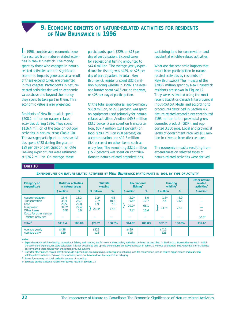### **9. ECONOMIC BENEFITS OF NATURE-RELATED ACTIVITIES FOR RESIDENTS OF NEW BRUNSWICK IN 1996**

<span id="page-27-0"></span>**I**n 1996, considerable economic benefits resulted from nature-related activities in New Brunswick. The money spent by those who engaged in naturerelated activities and the significant economic impacts generated as a result of these expenditures, are presented in this chapter. Participants in naturerelated activities derived an economic value above and beyond the money they spent to take part in them. This economic value is also presented.

Residents of New Brunswick spent \$208.2 million on nature-related activities during 1996. They spent \$116.4 million of the total on outdoor activities in natural areas (Table 10). The average participant in these activities spent \$438 during the year, or \$29 per day of participation. Wildlife viewing expenditures were estimated at \$26.2 million. On average, these

participants spent \$229, or \$13 per day of participation. Expenditures for recreational fishing amounted to \$44.0 million. The average yearly expenditure for fishing was \$429, or \$25 per day of participation. In total, New Brunswick residents spent \$32.6 million hunting wildlife in 1996. The average hunter spent \$415 during the year, or \$25 per day of participation.

Of the total expenditures, approximately \$56.9 million, or 27.3 percent, was spent on equipment used primarily for naturerelated activities. Another \$49.3 million (23.7 percent) was spent on transportation, \$37.7 million (18.1 percent) on food, \$20.4 million (9.8 percent) on accommodation and \$11.3 million (5.4 percent) on other items such as entry fees. The remaining \$32.6 million (15.7 percent) was spent on contributions to nature-related organizations,

sustaining land for conservation and residential wildlife-related activities.

What are the economic impacts that result from participation in naturerelated activities by residents of New Brunswick? The impacts of the \$208.2 million spent by New Brunswick residents are shown in Figure 12. They were estimated using the most recent Statistics Canada Interprovincial Input-Output Model and according to procedures described in Section 4.2. Nature-related expenditures contributed \$193 million to the provincial gross domestic product (GDP), and supported 3,800 jobs. Local and provincial levels of government received \$61 million in revenue from diverse taxes.

The economic impacts resulting from expenditures on selected types of nature-related activities were derived

### **TABLE 10**

**EXPENDITURES ON NATURE-RELATED ACTIVITIES BY NEW BRUNSWICK PARTICIPANTS IN 1996, BY TYPE OF ACTIVITY**

| <b>Category of</b><br>expenditure                                                                                    |                                           | <b>Outdoor activities</b><br>in natural areas |                                    | <b>Wildlife</b><br>viewing <sup>1</sup> |                                       | Recreational<br>fishing <sup>1</sup> |                          | <b>Hunting</b><br>wildlife <sup>1</sup> | Other nature-<br>related<br>activities <sup>2</sup> |
|----------------------------------------------------------------------------------------------------------------------|-------------------------------------------|-----------------------------------------------|------------------------------------|-----------------------------------------|---------------------------------------|--------------------------------------|--------------------------|-----------------------------------------|-----------------------------------------------------|
|                                                                                                                      | \$ million                                | %                                             | \$ million                         | %                                       | \$ million                            | %                                    | \$ million               | %                                       | \$ million                                          |
| Accommodation<br>Transportation<br>Food<br>Equipment<br>Other items<br>Costs for other nature-<br>related activities | 15.4<br>33.4<br>26.5<br>$34.2*$<br>$6.9*$ | 13.2<br>28.7<br>22.8<br>29.4<br>5.9           | $1.2*$<br>$2.7*$<br>1.9<br>$20.4*$ | 4.6<br>10.3<br>7.3<br>77.8              | $2.2*$<br>$5.6*$<br>$29.1*$<br>$7.2*$ | 5.0<br>12.7<br>66.1<br>16.4          | $1.6*$<br>7.6<br>$23.5*$ | 4.9<br>23.3<br>72.1                     | $32.6*$                                             |
| Total $3$                                                                                                            | \$116.4                                   | 100.0%                                        | $$26.2*$                           | 100.0%                                  | $$44.0*$                              | 100.0%                               | $$32.6*$                 | 100.0%                                  | $$32.6*$                                            |
| Average yearly<br>Average daily                                                                                      | \$438<br>\$29                             |                                               | \$229<br>\$13                      |                                         | \$429<br>\$25                         |                                      | \$415<br>\$25            |                                         |                                                     |

**Notes:** 

Expenditures for wildlife viewing, recreational fishing and hunting are for main and secondary activities combined as described in Section 2.1. Due to the manner in which the secondary expenditures were calculated, it is not possible to add up the expenditures on activities shown in Table 10 without duplication. See Appendix II for guidelines on comparing these results with those from previous surveys.

<sup>2</sup> Costs for other nature-related activities include expenditures on maintaining, restoring or purchasing land for conservation, nature-related organizations and residential wildlife-related activities. Data on these activities were not broken down by expenditure category.

3 Some figures may not total perfectly because of rounding.

}\* See note on the statistical reliability of survey results in Section 1.3.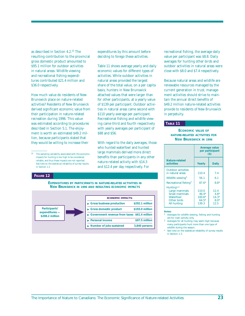as described in Section 4.2.15 The resulting contribution to the provincial gross domestic product amounted to \$95.1 million for outdoor activities in natural areas. Wildlife viewing and recreational fishing expenditures contributed \$21.4 million and \$36.0 respectively.

How much value do residents of New Brunswick place on nature-related activities? Residents of New Brunswick derived significant economic value from their participation in nature-related recreation during 1996. This value was estimated according to procedures described in Section 5.1. The enjoyment is worth an estimated \$49.2 million, because participants stated that they would be willing to increase their

#### **FIGURE 12**

expenditures by this amount before deciding to forego these activities.

Table 11 shows average yearly and daily economic values for different types of activities. While outdoor activities in natural areas provided the largest share of the total value, on a per capita basis, hunters in New Brunswick attached values that were larger than for other participants, at a yearly value of \$139 per participant. Outdoor activities in natural areas came second with \$110 yearly average per participant. Recreational fishing and wildlife viewing came third and fourth respectively with yearly averages per participant of \$88 and \$56.

With regard to the daily averages, those who hunted waterfowl and hunted large mammals derived more direct benefits than participants in any other nature-related activity with \$14.3 and \$12.4 per day respectively. For

**EXPENDITURES BY PARTICIPANTS IN NATURE-RELATED ACTIVITIES IN NEW BRUNSWICK IN 1996 AND RESULTING ECONOMIC IMPACTS**



recreational fishing, the average daily value per participant was \$8.8. Daily averages for hunting other birds and outdoor activities in natural areas were close with \$8.0 and \$7.4 respectively.

Because natural areas and wildlife are renewable resources managed by the current generation in trust, management activities should strive to maintain the annual direct benefits of \$49.2 million nature-related activities provide to residents of New Brunswick in perpetuity.

### **TABLE 11**

### **ECONOMIC VALUE OF NATURE-RELATED ACTIVITIES FOR NEW BRUNSWICK IN 1996**

|                                                                                                            | <b>Average value</b><br>per participant<br>$($)$ |                                             |  |  |
|------------------------------------------------------------------------------------------------------------|--------------------------------------------------|---------------------------------------------|--|--|
| Nature-related<br>activities                                                                               | Yearly                                           | <b>Daily</b>                                |  |  |
| <b>Outdoor activities</b><br>in natural areas                                                              | 110.4                                            | 7.4                                         |  |  |
| Wildlife viewing <sup>1</sup>                                                                              | 56.1                                             | 6.1                                         |  |  |
| Recreational fishing <sup>1</sup>                                                                          | $87.6*$                                          | $8.8*$                                      |  |  |
| Hunting <sup>1,2</sup><br>Large mammals<br><b>Small mammals</b><br>Waterfowl<br>Other birds<br>All hunting | 110.0<br>$46.4*$<br>$100.6*$<br>$64.5*$<br>139.3 | 12.4<br>$4.8*$<br>$14.3*$<br>$8.0*$<br>12.5 |  |  |

**Notes:**

- 1 Averages for wildlife viewing, fishing and hunting are for main activity only.
- 2 Averages for all hunting may seem high because many participants hunt more than one type of wildlife during the season.
- \* See note on the statistical reliability of survey results in Section 1.3.

 $^{\rm 15}$   $\,$  The sampling variability associated with the economic impacts for hunting is too high to be considered reliable, and thus these impacts are not reported. See note on the statistical reliability of survey results in Section 1.3.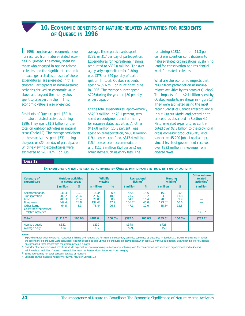### **10. ECONOMIC BENEFITS OF NATURE-RELATED ACTIVITIES FOR RESIDENTS OF QUEBEC IN 1996**

<span id="page-29-0"></span>**I**n 1996, considerable economic benefits resulted from nature-related activities in Quebec. The money spent by those who engaged in nature-related activities and the significant economic impacts generated as a result of these expenditures, are presented in this chapter. Participants in nature-related activities derived an economic value above and beyond the money they spent to take part in them. This economic value is also presented.

Residents of Quebec spent \$2.1 billion on nature-related activities during 1996. They spent \$1.2 billion of the total on outdoor activities in natural areas (Table 12). The average participant in these activities spent \$531 during the year, or \$34 per day of participation. Wildlife viewing expenditures were estimated at \$281.0 million. On

average, these participants spent \$239, or \$17 per day of participation. Expenditures for recreational fishing amounted to \$392.0 million. The average yearly expenditure for fishing was \$378, or \$29 per day of participation. In total, Quebec residents spent \$285.6 million hunting wildlife in 1996. The average hunter spent \$726 during the year, or \$50 per day of participation.

Of the total expenditures, approximately \$579.3 million, or 28.1 percent, was spent on equipment used primarily for nature-related activities. Another \$417.8 million (20.3 percent) was spent on transportation, \$400.8 million (19.4 percent) on food, \$317.4 million (15.4 percent) on accommodation and \$112.3 million (5.4 percent) on other items such as entry fees. The

remaining \$233.1 million (11.3 percent) was spent on contributions to nature-related organizations, sustaining land for conservation and residential wildlife-related activities.

What are the economic impacts that result from participation in naturerelated activities by residents of Quebec? The impacts of the \$2.1 billion spent by Quebec residents are shown in Figure 13. They were estimated using the most recent Statistics Canada Interprovincial Input-Output Model and according to procedures described in Section 4.2. Nature-related expenditures contributed over \$2.3 billion to the provincial gross domestic product (GDP), and supported 45,200 jobs. Local and provincial levels of government received over \$723 million in revenue from diverse taxes.

### **TABLE 12**

**EXPENDITURES ON NATURE-RELATED ACTIVITIES BY QUEBEC PARTICIPANTS IN 1996, BY TYPE OF ACTIVITY**

| <b>Category of</b><br>expenditure                                                                                    | in natural areas                         | <b>Outdoor activities</b>           |                                                | <b>Wildlife</b><br>viewing <sup>1</sup> |                                          | Recreational<br>fishing <sup>1</sup> |                                             | <b>Hunting</b><br>wildlife <sup>1</sup> | Other nature-<br>related<br>activities <sup>2</sup> |
|----------------------------------------------------------------------------------------------------------------------|------------------------------------------|-------------------------------------|------------------------------------------------|-----------------------------------------|------------------------------------------|--------------------------------------|---------------------------------------------|-----------------------------------------|-----------------------------------------------------|
|                                                                                                                      | \$ million                               | %                                   | \$ million                                     | %                                       | \$ million                               | %                                    | \$ million                                  | %                                       | \$ million                                          |
| Accommodation<br>Transportation<br>Food<br>Equipment<br>Other items<br>Costs for other nature-<br>related activities | 231.3<br>283.2<br>283.3<br>349.4<br>64.5 | 19.1<br>23.4<br>23.4<br>28.8<br>5.3 | $18.3*$<br>29.6<br>25.0<br>$132.6*$<br>$75.4*$ | 6.5<br>10.5<br>8.9<br>47.2<br>26.8      | 52.8<br>71.2<br>64.1<br>$156.7*$<br>47.1 | 13.5<br>18.2<br>16.4<br>40.0<br>12.0 | 15.0<br>33.8<br>28.3<br>$173.0*$<br>$35.6*$ | 5.3<br>11.8<br>9.9<br>60.6<br>12.5      | $233.1*$                                            |
| Total <sup>3</sup>                                                                                                   | \$1.211.7                                | 100.0%                              | \$281.0                                        | 100.0%                                  | \$392.0                                  | 100.0%                               | $$285.6*$                                   | 100.0%                                  | $$233.1*$                                           |
| Average yearly<br>Average daily                                                                                      | \$531<br>\$34                            |                                     | \$239<br>\$17                                  |                                         | \$378<br>\$29                            |                                      | \$726<br>\$50                               |                                         |                                                     |

#### **Notes:**

Expenditures for wildlife viewing, recreational fishing and hunting are for main and secondary activities combined as described in Section 2.1. Due to the manner in which the secondary expenditures were calculated, it is not possible to add up the expenditures on activities shown in Table 12 without duplication. See Appendix II for guidelines on comparing these results with those from previous surveys.

2 Costs for other nature-related activities include expenditures on maintaining, restoring or purchasing land for conservation, nature-related organizations and residential wildlife-related activities. Data on these activities were not broken down by expenditure category

3 Some figures may not total perfectly because of rounding.

See note on the statistical reliability of survey results in Section 1.3.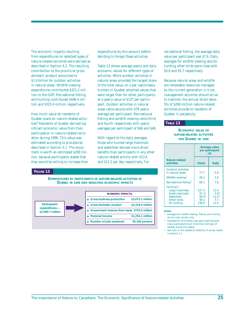The economic impacts resulting from expenditures on selected types of nature-related activities were derived as described in Section 4.2. The resulting contribution to the provincial gross domestic product amounted to \$1.4 billion for outdoor activities in natural areas. Wildlife viewing expenditures contributed \$321.2 million to the GDP. Recreational fishing and hunting contributed \$446.4 million and \$325.4 million respectively.

How much value do residents of Quebec place on nature-related activities? Residents of Quebec derived significant economic value from their participation in nature-related recreation during 1996. This value was estimated according to procedures described in Section 5.1. The enjoyment is worth an estimated \$290 million, because participants stated that they would be willing to increase their

#### **FIGURE 13**

**EXPENDITURES BY PARTICIPANTS IN NATURE-RELATED ACTIVITIES IN QUEBEC IN 1996 AND RESULTING ECONOMIC IMPACTS**



expenditures by this amount before deciding to forego these activities.

Table 13 shows average yearly and daily economic values for different types of activities. While outdoor activities in natural areas provided the largest share of the total value, on a per capita basis, hunters in Quebec attached values that were larger than for other participants, at a yearly value of \$137 per participant. Outdoor activities in natural areas came second with \$78 yearly average per participant. Recreational fishing and wildlife viewing came third and fourth respectively with yearly averages per participant of \$66 and \$46.

With regard to the daily averages, those who hunted large mammals and waterfowl derived more direct benefits than participants in any other nature-related activity with \$13.4 and \$11.2 per day respectively. For

recreational fishing, the average daily value per participant was \$7.6. Daily averages for wildlife viewing and for hunting other birds were close with \$5.8 and \$5.7 respectively.

Because natural areas and wildlife are renewable resources managed by the current generation in trust, management activities should strive to maintain the annual direct benefits of \$290 million nature-related activities provide to residents of Quebec in perpetuity.

### **TABLE 13**

### **ECONOMIC VALUE OF NATURE-RELATED ACTIVITIES FOR QUEBEC IN 1996**

|                                                                                                     | <b>Average value</b><br>per participant<br>$($)$ |                                          |  |  |  |
|-----------------------------------------------------------------------------------------------------|--------------------------------------------------|------------------------------------------|--|--|--|
| Nature-related<br>activities                                                                        | Yearly                                           | <b>Daily</b>                             |  |  |  |
| <b>Outdoor activities</b><br>in natural areas                                                       | 77.7                                             | 5.0                                      |  |  |  |
| Wildlife viewing <sup>1</sup>                                                                       | 46.2                                             | 5.8                                      |  |  |  |
| Recreational fishing <sup>1</sup>                                                                   | 66.1                                             | 76                                       |  |  |  |
| Hunting <sup>1,2</sup><br>Large mammals<br>Small mammals<br>Waterfowl<br>Other birds<br>All hunting | 127.4<br>$37.1*$<br>99.3*<br>48.1<br>136.8       | 13.4<br>$4.0*$<br>$11.2*$<br>5.7<br>11.6 |  |  |  |

**Notes:**

Averages for wildlife viewing, fishing and hunting are for main activity only.

Averages for all hunting may seem high because many participants hunt more than one type of wildlife during the season.

See note on the statistical reliability of survey results in Section 1.3.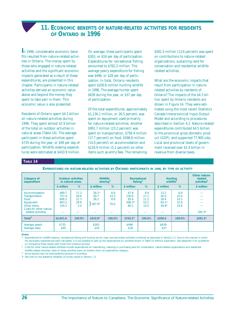### **11. ECONOMIC BENEFITS OF NATURE-RELATED ACTIVITIES FOR RESIDENTS OF ONTARIO IN 1996**

<span id="page-31-0"></span>**I**n 1996, considerable economic benefits resulted from nature-related activities in Ontario. The money spent by those who engaged in nature-related activities and the significant economic impacts generated as a result of these expenditures, are presented in this chapter. Participants in nature-related activities derived an economic value above and beyond the money they spent to take part in them. This economic value is also presented.

Residents of Ontario spent \$4.3 billion on nature-related activities during 1996. They spent almost \$2.9 billion of the total on outdoor activities in natural areas (Table 14). The average participant in these activities spent \$735 during the year, or \$49 per day of participation. Wildlife viewing expenditures were estimated at \$410.9 million.

On average, these participants spent \$263, or \$16 per day of participation. Expenditures for recreational fishing amounted to \$762.2 million. The average yearly expenditure for fishing was \$496, or \$28 per day of participation. In total, Ontario residents spent \$200.6 million hunting wildlife in 1996. The average hunter spent \$639 during the year, or \$37 per day of participation.

Of the total expenditures, approximately \$1,136.1 million, or 26.5 percent, was spent on equipment used primarily for nature-related activities. Another \$991.7 million (23.2 percent) was spent on transportation, \$756.4 million (17.7 percent) on food, \$598.8 million (14.0 percent) on accommodation and \$218.9 million (5.1 percent) on other items such as entry fees. The remaining

\$581.5 million (13.6 percent) was spent on contributions to nature-related organizations, sustaining land for conservation and residential wildliferelated activities.

What are the economic impacts that result from participation in naturerelated activities by residents of Ontario? The impacts of the \$4.3 billion spent by Ontario residents are shown in Figure 14. They were estimated using the most recent Statistics Canada Interprovincial Input-Output Model and according to procedures described in Section 4.2. Nature-related expenditures contributed \$4.5 billion to the provincial gross domestic product (GDP), and supported 77,900 jobs. Local and provincial levels of government received over \$1.4 billion in revenue from diverse taxes.

### **TABLE 14**

**EXPENDITURES ON NATURE-RELATED ACTIVITIES BY ONTARIO PARTICIPANTS IN 1996, BY TYPE OF ACTIVITY**

| <b>Category of</b><br>expenditure                                                                                           |                                           | <b>Outdoor activities</b><br>in natural areas |                                     | <b>Wildlife</b><br>viewing <sup>1</sup> |                                           | Recreational<br>fishing <sup>1</sup> |                                            | <b>Hunting</b><br>wildlife <sup>1</sup> | Other nature-<br>related<br>activities <sup>2</sup> |
|-----------------------------------------------------------------------------------------------------------------------------|-------------------------------------------|-----------------------------------------------|-------------------------------------|-----------------------------------------|-------------------------------------------|--------------------------------------|--------------------------------------------|-----------------------------------------|-----------------------------------------------------|
|                                                                                                                             | \$ million                                | %                                             | \$ million                          | %                                       | \$ million                                | %                                    | \$ million                                 | %                                       | \$ million                                          |
| Accommodation<br><b>Transportation</b><br>Food<br>Equipment<br>Other items<br>Costs for other nature-<br>related activities | 489.7<br>757.4<br>606.3<br>843.3<br>154.3 | 17.2<br>26.6<br>21.3<br>29.6<br>5.4           | $28.1*$<br>58.7<br>36.2<br>$287.9*$ | 6.8<br>14.3<br>8.8<br>70.0              | 67.8<br>130.6<br>85.6<br>$398.2*$<br>80.1 | 8.9<br>17.1<br>11.2<br>52.2<br>10.5  | 13.2<br>45.0<br>28.4<br>$64.1*$<br>$49.8*$ | 6.6<br>22.4<br>14.2<br>32.0<br>24.8     | $581.5*$                                            |
| Total $3$                                                                                                                   | \$2,851.0                                 | 100.0%                                        | $$410.9*$                           | 100.0%                                  | $$762.2*$                                 | 100.0%                               | \$200.6                                    | 100.0%                                  | $$581.5*$                                           |
| Average yearly<br>Average daily                                                                                             | \$735<br>\$49                             |                                               | \$263<br>\$16                       |                                         | \$496<br>\$28                             |                                      | \$639<br>\$37                              |                                         |                                                     |

#### **Notes:**

Expenditures for wildlife viewing, recreational fishing and hunting are for main and secondary activities combined as described in Section 2.1. Due to the manner in which the secondary expenditures were calculated, it is not possible to add up the expenditures on activities shown in Table 14 without duplication. See Appendix II for guidelines on comparing these results with those from previous surveys.

2 Costs for other nature-related activities include expenditures on maintaining, restoring or purchasing land for conservation, nature-related organizations and residential wildlife-related activities. Data on these activities were not broken down by expenditure category

3 Some figures may not total perfectly because of rounding.

}\* See note on the statistical reliability of survey results in Section 1.3.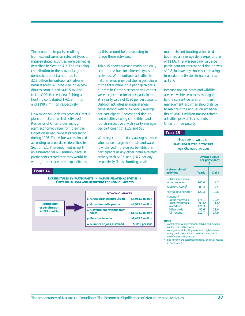The economic impacts resulting from expenditures on selected types of nature-related activities were derived as described in Section 4.2. The resulting contribution to the provincial gross domestic product amounted to \$2.8 billion for outdoor activities in natural areas. Wildlife viewing expenditures contributed \$410.5 million to the GDP. Recreational fishing and hunting contributed \$761.9 million and \$199.7 million respectively.

How much value do residents of Ontario place on nature-related activities? Residents of Ontario derived significant economic value from their participation in nature-related recreation during 1996. This value was estimated according to procedures described in Section 5.1. The enjoyment is worth an estimated \$807.1 million, because participants stated that they would be willing to increase their expenditures

### **FIGURE 14**

by this amount before deciding to forego these activities.

Table 15 shows average yearly and daily economic values for different types of activities. While outdoor activities in natural areas provided the largest share of the total value, on a per capita basis, hunters in Ontario attached values that were larger than for other participants, at a yearly value of \$220 per participant. Outdoor activities in natural areas came second with \$147 yearly average per participant. Recreational fishing and wildlife viewing came third and fourth respectively with yearly averages per participant of \$122 and \$88.

With regard to the daily averages, those who hunted large mammals and waterfowl derived more direct benefits than participants in any other nature-related activity with \$19.9 and \$16.2 per day respectively. Those hunting small

**EXPENDITURES BY PARTICIPANTS IN NATURE-RELATED ACTIVITIES IN ONTARIO IN 1996 AND RESULTING ECONOMIC IMPACTS**



mammals and hunting other birds both had an average daily expenditure of \$11.6. The average daily value per participant for recreational fishing was \$10.8, followed by those participating in outdoor activities in natural areas at \$9.7.

Because natural areas and wildlife are renewable resources managed by the current generation in trust, management activities should strive to maintain the annual direct benefits of \$807.1 million nature-related activities provide to residents of Ontario in perpetuity.

#### **TABLE 15**

### **ECONOMIC VALUE OF NATURE-RELATED ACTIVITIES FOR ONTARIO IN 1996**

|                                                                                                     |                                            | <b>Average value</b><br>per participant<br>$($)$ |
|-----------------------------------------------------------------------------------------------------|--------------------------------------------|--------------------------------------------------|
| Nature-related<br>activities                                                                        | Yearly                                     | <b>Daily</b>                                     |
| <b>Outdoor activities</b><br>in natural areas                                                       | 146.6                                      | 9.7                                              |
| Wildlife viewing <sup>1</sup><br>Recreational fishing <sup>1</sup>                                  | 88.4<br>122.3                              | 7.5<br>10.8                                      |
| Hunting <sup>1,2</sup><br>Large mammals<br>Small mammals<br>Waterfowl<br>Other birds<br>All hunting | 178.1<br>$99.6*$<br>121.3<br>86.6<br>219.7 | 19.9<br>$11.6*$<br>16.2<br>11.6<br>17.9          |

**Notes:**

<sup>1</sup> Averages for wildlife viewing, fishing and hunting are for main activity only.

- 2 Averages for all hunting may seem high because many participants hunt more than one type of wildlife during the season.
- See note on the statistical reliability of survey results in Section 1.3.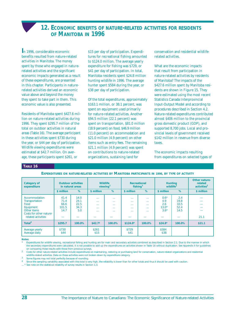### **12. ECONOMIC BENEFITS OF NATURE-RELATED ACTIVITIES FOR RESIDENTS OF MANITOBA IN 1996**

<span id="page-33-0"></span>**I**n 1996, considerable economic benefits resulted from nature-related activities in Manitoba. The money spent by those who engaged in naturerelated activities and the significant economic impacts generated as a result of these expenditures, are presented in this chapter. Participants in naturerelated activities derived an economic value above and beyond the money they spent to take part in them. This economic value is also presented.

Residents of Manitoba spent \$427.6 million on nature-related activities during 1996. They spent \$295.7 million of the total on outdoor activities in natural areas (Table 16). The average participant in these activities spent \$730 during the year, or \$44 per day of participation. Wildlife viewing expenditures were estimated at \$42.7 million. On average, these participants spent \$261, or

\$15 per day of participation. Expenditures for recreational fishing amounted to \$124.0 million. The average yearly expenditure for fishing was \$729, or \$41 per day of participation. In total, Manitoba residents spent \$24.8 million hunting wildlife in 1996. The average hunter spent \$584 during the year, or \$38 per day of participation.

Of the total expenditures, approximately \$163.1 million, or 38.1 percent, was spent on equipment used primarily for nature-related activities. Another \$94.5 million (22.1 percent) was spent on transportation, \$81.0 million (18.9 percent) on food, \$46.9 million (11.0 percent) on accommodation and \$21.0 million (4.9 percent) on other items such as entry fees. The remaining \$21.1 million (4.9 percent) was spent on contributions to nature-related organizations, sustaining land for

conservation and residential wildliferelated activities.

What are the economic impacts that result from participation in nature-related activities by residents of Manitoba? The impacts of the \$427.6 million spent by Manitoba residents are shown in Figure 15. They were estimated using the most recent Statistics Canada Interprovincial Input-Output Model and according to procedures described in Section 4.2. Nature-related expenditures contributed almost \$406 million to the provincial gross domestic product (GDP), and supported 8,700 jobs. Local and provincial levels of government received \$142 million in revenue from diverse taxes.

The economic impacts resulting from expenditures on selected types of

### **TABLE 16**

**EXPENDITURES ON NATURE-RELATED ACTIVITIES BY MANITOBA PARTICIPANTS IN 1996, BY TYPE OF ACTIVITY**

| <b>Category of</b><br>expenditure                                                                                    | <b>Outdoor activities</b><br>in natural areas |                                     | <b>Wildlife</b><br>viewing <sup>1</sup>      |                                                                    | <b>Recreational</b><br>fishing <sup>1</sup> |                                                                | <b>Hunting</b><br>wildlife <sup>1</sup>   |                                     | Other nature-<br>related<br>activities <sup>2</sup> |
|----------------------------------------------------------------------------------------------------------------------|-----------------------------------------------|-------------------------------------|----------------------------------------------|--------------------------------------------------------------------|---------------------------------------------|----------------------------------------------------------------|-------------------------------------------|-------------------------------------|-----------------------------------------------------|
|                                                                                                                      | \$ million                                    | %                                   | \$ million                                   | %                                                                  | \$ million                                  | %                                                              | \$ million                                | %                                   | \$ million                                          |
| Accommodation<br>Transportation<br>Food<br>Equipment<br>Other items<br>Costs for other nature-<br>related activities | 41.4<br>71.4<br>66.6<br>101.5<br>14.7         | 14.0<br>24.1<br>22.5<br>34.3<br>5.0 | $\sim$<br>$\sim$<br>1.11<br>$\sim$<br>$\sim$ | 1.11<br>1.11<br><b>A 6 6 1</b><br><b>A 6 6 1</b><br><b>A 6 6 1</b> | .<br>.<br>.<br>.<br>.                       | $\sim$<br>$\sim$<br><b>A 6 6 1</b><br>$\sim$<br><b>A 6 6 1</b> | $0.6*$<br>4.9<br>2.6<br>$13.0*$<br>$3.6*$ | 2.4<br>19.8<br>10.5<br>52.4<br>14.5 | 21.1                                                |
| Total $3$                                                                                                            | \$295.7                                       | 100.0%                              | \$42.7 <sup>4</sup>                          | 100.0%                                                             | $$124.0*$                                   | 100.0%                                                         | $$24.8*$                                  | 100.0%                              | \$21.1                                              |
| Average yearly<br>Average daily                                                                                      | \$730<br>\$44                                 |                                     | \$261<br>\$15                                |                                                                    | \$729<br>\$41                               |                                                                | \$584<br>\$38                             |                                     |                                                     |

**Notes:** 

Expenditures for wildlife viewing, recreational fishing and hunting are for main and secondary activities combined as described in Section 2.1. Due to the manner in which the secondary expenditures were calculated, it is not possible to add up the expenditures on activities shown in Table 16 without duplication. See Appendix II for guidelines on comparing these results with those from previous surveys.

2 Costs for other nature-related activities include expenditures on maintaining, restoring or purchasing land for conservation, nature-related organizations and residential wildlife-related activities. Data on these activities were not broken down by expenditure category.

Some figures may not total perfectly because of rounding.

Since the sampling variability associated with this total is very high, the reliability is lower than for other totals and thus it should be used with caution.

.\* See note on the statistical reliability of survey results in Section 1.3.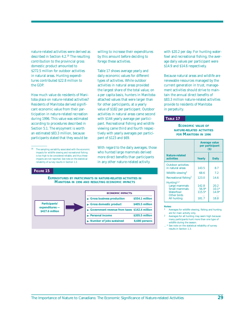nature-related activities were derived as described in Section 4.2.16 The resulting contribution to the provincial gross domestic product amounted to \$272.5 million for outdoor activities in natural areas. Hunting expenditures contributed \$22.8 million to the GDP.

How much value do residents of Manitoba place on nature-related activities? Residents of Manitoba derived significant economic value from their participation in nature-related recreation during 1996. This value was estimated according to procedures described in Section 5.1. The enjoyment is worth an estimated \$83.3 million, because participants stated that they would be

#### **FIGURE 15**

willing to increase their expenditures by this amount before deciding to forego these activities.

Table 17 shows average yearly and daily economic values for different types of activities. While outdoor activities in natural areas provided the largest share of the total value, on a per capita basis, hunters in Manitoba attached values that were larger than for other participants, at a yearly value of \$182 per participant. Outdoor activities in natural areas came second with \$144 yearly average per participant. Recreational fishing and wildlife viewing came third and fourth respectively with yearly averages per participant of \$123 and \$69.

With regard to the daily averages, those who hunted large mammals derived more direct benefits than participants in any other nature-related activity

**EXPENDITURES BY PARTICIPANTS IN NATURE-RELATED ACTIVITIES IN MANITOBA IN 1996 AND RESULTING ECONOMIC IMPACTS**



with \$20.2 per day. For hunting waterfowl and recreational fishing, the average daily values per participant were \$14.9 and \$14.6 respectively.

Because natural areas and wildlife are renewable resources managed by the current generation in trust, management activities should strive to maintain the annual direct benefits of \$83.3 million nature-related activities provide to residents of Manitoba in perpetuity.

### **TABLE 17**

### **ECONOMIC VALUE OF NATURE-RELATED ACTIVITIES FOR MANITOBA IN 1996**

|                                                                                                     | <b>Average value</b><br>per participant<br>$($ \$ |                                    |  |  |  |
|-----------------------------------------------------------------------------------------------------|---------------------------------------------------|------------------------------------|--|--|--|
| Nature-related<br>activities                                                                        | Yearly                                            | <b>Daily</b>                       |  |  |  |
| <b>Outdoor activities</b><br>in natural areas                                                       | 143.5                                             | 8.7                                |  |  |  |
| Wildlife viewing <sup>1</sup>                                                                       | 68.6                                              | 7.2                                |  |  |  |
| Recreational fishing <sup>1</sup>                                                                   | 123.0                                             | 14.6                               |  |  |  |
| Hunting <sup>1,2</sup><br>Large mammals<br>Small mammals<br>Waterfowl<br>Other birds<br>All hunting | 142.8<br>$56.9*$<br>$115.5*$<br>181.7             | 20.2<br>$10.1*$<br>$14.9*$<br>18.8 |  |  |  |

#### **Notes:**

Averages for wildlife viewing, fishing and hunting are for main activity only.

2 Averages for all hunting may seem high because many participants hunt more than one type of wildlife during the season.

\* See note on the statistical reliability of survey results in Section 1.3.

 $^{16}$   $\;$  The sampling variability associated with the economic impacts for wildlife viewing and recreational fishing is too high to be considered reliable, and thus these impacts are not reported. See note on the statistical reliability of survey results in Section 1.3.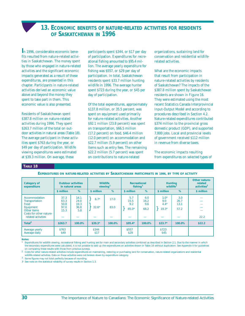### **13. ECONOMIC BENEFITS OF NATURE-RELATED ACTIVITIES FOR RESIDENTS OF SASKATCHEWAN IN 1996**

<span id="page-35-0"></span>**I**n 1996, considerable economic benefits resulted from nature-related activities in Saskatchewan. The money spent by those who engaged in nature-related activities and the significant economic impacts generated as a result of these expenditures, are presented in this chapter. Participants in nature-related activities derived an economic value above and beyond the money they spent to take part in them. This economic value is also presented.

Residents of Saskatchewan spent \$387.8 million on nature-related activities during 1996. They spent \$263.7 million of the total on outdoor activities in natural areas (Table 18). The average participant in these activities spent \$763 during the year, or \$49 per day of participation. Wildlife viewing expenditures were estimated at \$39.3 million. On average, these

participants spent \$344, or \$17 per day of participation. Expenditures for recreational fishing amounted to \$95.4 million. The average yearly expenditure for fishing was \$557, or \$29 per day of participation. In total, Saskatchewan residents spent \$33.7 million hunting wildlife in 1996. The average hunter spent \$723 during the year, or \$45 per day of participation.

Of the total expenditures, approximately \$137.8 million, or 35.5 percent, was spent on equipment used primarily for nature-related activities. Another \$92.1 million (23.8 percent) was spent on transportation, \$66.5 million (17.2 percent) on food, \$46.4 million (12.0 percent) on accommodation and \$22.7 million (5.9 percent) on other items such as entry fees. The remaining \$22.2 million (5.7 percent) was spent on contributions to nature-related

organizations, sustaining land for conservation and residential wildliferelated activities.

What are the economic impacts that result from participation in nature-related activities by residents of Saskatchewan? The impacts of the \$387.8 million spent by Saskatchewan residents are shown in Figure 16. They were estimated using the most recent Statistics Canada Interprovincial Input-Output Model and according to procedures described in Section 4.2. Nature-related expenditures contributed \$374 million to the provincial gross domestic product (GDP), and supported 7,800 jobs. Local and provincial levels of government received \$112 million in revenue from diverse taxes.

The economic impacts resulting from expenditures on selected types of

### **TABLE 18**

**EXPENDITURES ON NATURE-RELATED ACTIVITIES BY SASKATCHEWAN PARTICIPANTS IN 1996, BY TYPE OF ACTIVITY**

| <b>Category of</b><br>expenditure                                                                                    | <b>Outdoor activities</b><br>in natural areas |                                     | <b>Wildlife</b><br>viewing <sup>1</sup> |              | Recreational<br>fishing <sup>1</sup> |                            | <b>Hunting</b><br>wildlife <sup>1</sup> |                             | Other nature-<br>related<br>activities <sup>2</sup> |
|----------------------------------------------------------------------------------------------------------------------|-----------------------------------------------|-------------------------------------|-----------------------------------------|--------------|--------------------------------------|----------------------------|-----------------------------------------|-----------------------------|-----------------------------------------------------|
|                                                                                                                      | \$ million                                    | %                                   | \$ million                              | %            | \$ million                           | %                          | \$ million                              | %                           | \$ million                                          |
| Accommodation<br>Transportation<br>Food<br>Equipment<br>Other items<br>Costs for other nature-<br>related activities | 37.3<br>63.3<br>50.8<br>97.0<br>15.3          | 14.1<br>24.0<br>19.3<br>36.8<br>5.8 | $6.7*$<br>$32.6*$                       | 17.0<br>83.0 | 5.7<br>15.5<br>9.2<br>$65.0*$        | 6.0<br>16.2<br>9.6<br>68.2 | $1.0*$<br>9.0<br>$4.4*$<br>$19.3*$      | 3.0<br>26.7<br>13.1<br>57.2 | 22.2                                                |
| Total $3$                                                                                                            | \$263.7                                       | 100.0%                              | $$39.3*$                                | 100.0%       | $$95.4*$                             | 100.0%                     | $$33.7*$                                | 100.0%                      | \$22.2                                              |
| Average yearly<br>Average daily                                                                                      | \$763<br>\$49                                 |                                     | \$344<br>\$17                           |              | \$557<br>\$29                        |                            | \$723<br>\$45                           |                             |                                                     |

**Notes:** 

Expenditures for wildlife viewing, recreational fishing and hunting are for main and secondary activities combined as described in Section 2.1. Due to the manner in which the secondary expenditures were calculated, it is not possible to add up the expenditures on activities shown in Table 18 without duplication. See Appendix II for guidelines on comparing these results with those from previous surveys.

<sup>2</sup> Costs for other nature-related activities include expenditures on maintaining, restoring or purchasing land for conservation, nature-related organizations and residential wildlife-related activities. Data on these activities were not broken down by expenditure category.

3 Some figures may not total perfectly because of rounding.

}\* See note on the statistical reliability of survey results in Section 1.3.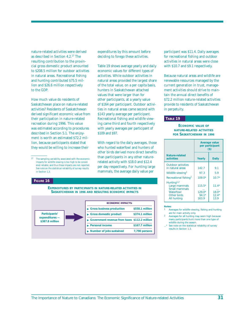nature-related activities were derived as described in Section 4.2.17 The resulting contribution to the provincial gross domestic product amounted to \$208.5 million for outdoor activities in natural areas. Recreational fishing and hunting contributed \$75.5 million and \$26.6 million respectively to the GDP.

How much value do residents of Saskatchewan place on nature-related activities? Residents of Saskatchewan derived significant economic value from their participation in nature-related recreation during 1996. This value was estimated according to procedures described in Section 5.1. The enjoyment is worth an estimated \$72.2 million, because participants stated that they would be willing to increase their

17 The sampling variability associated with the economic impacts for wildlife viewing is too high to be considered reliable, and thus these impacts are not reported. See note on the statistical reliability of survey results in Section 1.3.

#### **FIGURE 16**

**EXPENDITURES BY PARTICIPANTS IN NATURE-RELATED ACTIVITIES IN SASKATCHEWAN IN 1996 AND RESULTING ECONOMIC IMPACTS**



expenditures by this amount before deciding to forego these activities.

Table 19 shows average yearly and daily economic values for different types of activities. While outdoor activities in natural areas provided the largest share of the total value, on a per capita basis, hunters in Saskatchewan attached values that were larger than for other participants, at a yearly value of \$164 per participant. Outdoor activities in natural areas came second with \$143 yearly average per participant. Recreational fishing and wildlife viewing came third and fourth respectively with yearly averages per participant of \$109 and \$97.

With regard to the daily averages, those who hunted waterfowl and hunters of other birds derived more direct benefits than participants in any other naturerelated activity with \$18.0 and \$12.4 per day respectively. For hunting large mammals, the average daily value per

participant was \$11.4. Daily averages for recreational fishing and outdoor activities in natural areas were close with \$10.7 and \$9.1 respectively.

Because natural areas and wildlife are renewable resources managed by the current generation in trust, management activities should strive to maintain the annual direct benefits of \$72.2 million nature-related activities provide to residents of Saskatchewan in perpetuity.

### **TABLE 19**

### **ECONOMIC VALUE OF NATURE-RELATED ACTIVITIES FOR SASKATCHEWAN IN 1996**

|                                                                                                            | Average value<br>per participant<br>$($)$ |                                       |  |  |  |
|------------------------------------------------------------------------------------------------------------|-------------------------------------------|---------------------------------------|--|--|--|
| Nature-related<br>activities                                                                               | Yearly                                    | <b>Daily</b>                          |  |  |  |
| <b>Outdoor activities</b><br>in natural areas                                                              | 142.7                                     | 91                                    |  |  |  |
| Wildlife viewing <sup>1</sup>                                                                              | 97.3                                      | 5.9                                   |  |  |  |
| Recreational fishing <sup>1</sup>                                                                          | $109.0*$                                  | $10.7*$                               |  |  |  |
| Hunting <sup>1,2</sup><br>Large mammals<br>Small mammals<br>Waterfowl<br>Other birds<br><b>All hunting</b> | $115.5*$<br>$129.0*$<br>$94.1*$<br>163.9  | $11.4*$<br>$18.0*$<br>$12.4*$<br>13.9 |  |  |  |

#### **Notes:**

Averages for wildlife viewing, fishing and hunting are for main activity only.

2 Averages for all hunting may seem high because many participants hunt more than one type of wildlife during the season.

..\* See note on the statistical reliability of survey results in Section 1.3.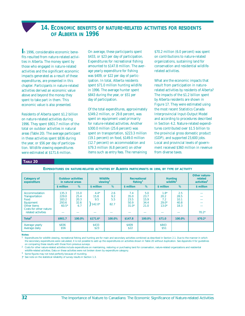### **14. ECONOMIC BENEFITS OF NATURE-RELATED ACTIVITIES FOR RESIDENTS OF ALBERTA IN 1996**

<span id="page-37-0"></span>**I**n 1996, considerable economic benefits resulted from nature-related activities in Alberta. The money spent by those who engaged in nature-related activities and the significant economic impacts generated as a result of these expenditures, are presented in this chapter. Participants in nature-related activities derived an economic value above and beyond the money they spent to take part in them. This economic value is also presented.

Residents of Alberta spent \$1.2 billion on nature-related activities during 1996. They spent \$901.7 million of the total on outdoor activities in natural areas (Table 20). The average participant in these activities spent \$836 during the year, or \$56 per day of participation. Wildlife viewing expenditures were estimated at \$171.6 million.

On average, these participants spent \$433, or \$23 per day of participation. Expenditures for recreational fishing amounted to \$147.8 million. The average yearly expenditure for fishing was \$409, or \$22 per day of participation. In total, Alberta residents spent \$71.0 million hunting wildlife in 1996. The average hunter spent \$843 during the year, or \$51 per day of participation.

Of the total expenditures, approximately \$349.2 million, or 29.8 percent, was spent on equipment used primarily for nature-related activities. Another \$300.0 million (25.6 percent) was spent on transportation, \$223.3 million (19.1 percent) on food, \$149.0 million (12.7 percent) on accommodation and \$79.3 million (6.8 percent) on other items such as entry fees. The remaining

\$70.2 million (6.0 percent) was spent on contributions to nature-related organizations, sustaining land for conservation and residential wildliferelated activities.

What are the economic impacts that result from participation in naturerelated activities by residents of Alberta? The impacts of the \$1.2 billion spent by Alberta residents are shown in Figure 17. They were estimated using the most recent Statistics Canada Interprovincial Input-Output Model and according to procedures described in Section 4.2. Nature-related expenditures contributed over \$1.5 billion to the provincial gross domestic product (GDP), and supported 23,600 jobs. Local and provincial levels of government received \$360 million in revenue from diverse taxes.

### **TABLE 20**

**EXPENDITURES ON NATURE-RELATED ACTIVITIES BY ALBERTA PARTICIPANTS IN 1996, BY TYPE OF ACTIVITY**

| <b>Category of</b><br>expenditure                                                                                           |                                             | <b>Outdoor activities</b><br>in natural areas |                                   | <b>Wildlife</b><br>viewing <sup>1</sup> |                                        | Recreational<br>fishing <sup>1</sup> |                                             | <b>Hunting</b><br>wildlife <sup>1</sup> | Other nature-<br>related<br>activities <sup>2</sup> |
|-----------------------------------------------------------------------------------------------------------------------------|---------------------------------------------|-----------------------------------------------|-----------------------------------|-----------------------------------------|----------------------------------------|--------------------------------------|---------------------------------------------|-----------------------------------------|-----------------------------------------------------|
|                                                                                                                             | \$ million                                  | %                                             | \$ million                        | %                                       | \$ million                             | %                                    | \$ million                                  | %                                       | \$ million                                          |
| Accommodation<br><b>Transportation</b><br>Food<br>Equipment<br>Other items<br>Costs for other nature-<br>related activities | 135.3<br>229.0<br>183.2<br>293.6<br>$60.5*$ | 15.0<br>25.4<br>20.3<br>32.6<br>6.7           | $4.4*$<br>15.8<br>9.5<br>$142.0*$ | 2.6<br>9.2<br>5.5<br>82.7               | 7.4<br>35.0<br>23.5<br>50.9<br>$31.0*$ | 5.0<br>23.7<br>15.9<br>34.4<br>21.0  | $1.8*$<br>20.2<br>7.2<br>$29.0*$<br>$13.0*$ | 2.5<br>28.5<br>10.1<br>40.8<br>18.3     | $70.2*$                                             |
| Total $3$                                                                                                                   | \$901.7                                     | 100.0%                                        | $$171.6*$                         | 100.0%                                  | \$147.8                                | 100.0%                               | \$71.0                                      | 100.0%                                  | $$70.2*$                                            |
| Average yearly<br>Average daily                                                                                             | \$836<br>\$56                               |                                               | \$433<br>\$23                     |                                         | \$409<br>\$22                          |                                      | \$843<br>\$51                               |                                         |                                                     |

#### **Notes:**

Expenditures for wildlife viewing, recreational fishing and hunting are for main and secondary activities combined as described in Section 2.1. Due to the manner in which the secondary expenditures were calculated, it is not possible to add up the expenditures on activities shown in Table 20 without duplication. See Appendix II for guidelines on comparing these results with those from previous surveys.

2 Costs for other nature-related activities include expenditures on maintaining, restoring or purchasing land for conservation, nature-related organizations and residential wildlife-related activities. Data on these activities were not broken down by expenditure category

3 Some figures may not total perfectly because of rounding.

}\* See note on the statistical reliability of survey results in Section 1.3.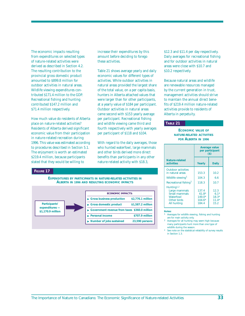The economic impacts resulting from expenditures on selected types of nature-related activities were derived as described in Section 4.2. The resulting contribution to the provincial gross domestic product amounted to \$899.8 million for outdoor activities in natural areas. Wildlife viewing expenditures contributed \$171.4 million to the GDP. Recreational fishing and hunting contributed \$147.2 million and \$71.4 million respectively.

How much value do residents of Alberta place on nature-related activities? Residents of Alberta derived significant economic value from their participation in nature-related recreation during 1996. This value was estimated according to procedures described in Section 5.1. The enjoyment is worth an estimated \$219.4 million, because participants stated that they would be willing to

#### **FIGURE 17**

**EXPENDITURES BY PARTICIPANTS IN NATURE-RELATED ACTIVITIES IN ALBERTA IN 1996 AND RESULTING ECONOMIC IMPACTS**

increase their expenditures by this amount before deciding to forego

Table 21 shows average yearly and daily economic values for different types of activities. While outdoor activities in natural areas provided the largest share of the total value, on a per capita basis, hunters in Alberta attached values that were larger than for other participants, at a yearly value of \$184 per participant. Outdoor activities in natural areas came second with \$153 yearly average per participant. Recreational fishing and wildlife viewing came third and fourth respectively with yearly averages per participant of \$118 and \$104.

With regard to the daily averages, those who hunted waterfowl, large mammals and other birds derived more direct benefits than participants in any other nature-related activity with \$18.3,

these activities.



\$12.3 and \$11.4 per day respectively. Daily averages for recreational fishing and for outdoor activities in natural areas were close with \$10.7 and \$10.2 respectively.

Because natural areas and wildlife are renewable resources managed by the current generation in trust, management activities should strive to maintain the annual direct benefits of \$219.4 million nature-related activities provide to residents of Alberta in perpetuity.

### **TABLE 21**

### **ECONOMIC VALUE OF NATURE-RELATED ACTIVITIES FOR ALBERTA IN 1996**

|                                                                                                     | <b>Average value</b><br>per participant<br>$($)$  |                                              |  |  |  |
|-----------------------------------------------------------------------------------------------------|---------------------------------------------------|----------------------------------------------|--|--|--|
| Nature-related<br>activities                                                                        | Yearly                                            | <b>Daily</b>                                 |  |  |  |
| <b>Outdoor activities</b><br>in natural areas                                                       | 153.3                                             | 10.2                                         |  |  |  |
| Wildlife viewing <sup>1</sup>                                                                       | 104.3                                             | 6.6                                          |  |  |  |
| Recreational fishing <sup>1</sup>                                                                   | 118.3                                             | 10.7                                         |  |  |  |
| Hunting <sup>1,2</sup><br>Large mammals<br>Small mammals<br>Waterfowl<br>Other birds<br>All hunting | 137.4<br>$61.8*$<br>$149.0*$<br>$104.6*$<br>184.4 | 12.3<br>$6.1*$<br>$18.3*$<br>$11.4*$<br>15.2 |  |  |  |

**Notes:**

1 Averages for wildlife viewing, fishing and hunting are for main activity only.

2 Averages for all hunting may seem high because many participants hunt more than one type of wildlife during the season.

See note on the statistical reliability of survey results in Section 1.3.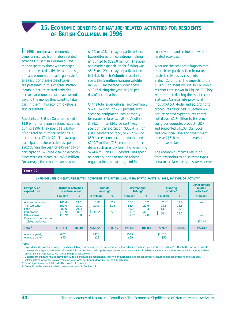### **15. ECONOMIC BENEFITS OF NATURE-RELATED ACTIVITIES FOR RESIDENTS OF BRITISH COLUMBIA IN 1996**

<span id="page-39-0"></span>**I**n 1996, considerable economic benefits resulted from nature-related activities in British Columbia. The money spent by those who engaged in nature-related activities and the significant economic impacts generated as a result of these expenditures, are presented in this chapter. Participants in nature-related activities derived an economic value above and beyond the money they spent to take part in them. This economic value is also presented.

Residents of British Columbia spent \$1.9 billion on nature-related activities during 1996. They spent \$1.3 billion of the total on outdoor activities in natural areas (Table 22). The average participant in these activities spent \$902 during the year, or \$45 per day of participation. Wildlife viewing expenditures were estimated at \$268.5 million. On average, these participants spent

\$420, or \$18 per day of participation. Expenditures for recreational fishing amounted to \$293.0 million. The average yearly expenditure for fishing was \$545, or \$29 per day of participation. In total, British Columbia residents spent \$99.5 million hunting wildlife in 1996. The average hunter spent \$1,017 during the year, or \$50 per day of participation.

Of the total expenditures, approximately \$571.1 million, or 29.5 percent, was spent on equipment used primarily for nature-related activities. Another \$479.2 million (24.7 percent) was spent on transportation, \$350.4 million (18.1 percent) on food, \$172.2 million (8.9 percent) on accommodation and \$140.7 million (7.3 percent) on other items such as entry fees. The remaining \$224.4 million (11.6 percent) was spent on contributions to nature-related organizations, sustaining land for

conservation and residential wildliferelated activities.

What are the economic impacts that result from participation in naturerelated activities by residents of British Columbia? The impacts of the \$1.9 billion spent by British Columbia residents are shown in Figure 18. They were estimated using the most recent Statistics Canada Interprovincial Input-Output Model and according to procedures described in Section 4.2. Nature-related expenditures contributed over \$1.8 billion to the provincial gross domestic product (GDP), and supported 34,100 jobs. Local and provincial levels of government received \$618 million in revenue from diverse taxes.

The economic impacts resulting from expenditures on selected types of nature-related activities were derived

### **TABLE 22**

| Category of<br>expenditure                                                                                                  | <b>Outdoor activities</b><br>in natural areas |                                     |                            | <b>Wildlife</b><br>viewing <sup>1</sup> |                                             | Recreational<br>fishing <sup>1</sup> |                                   | <b>Hunting</b><br>wildlife <sup>1</sup> | Other nature-<br>related<br>activities <sup>2</sup> |
|-----------------------------------------------------------------------------------------------------------------------------|-----------------------------------------------|-------------------------------------|----------------------------|-----------------------------------------|---------------------------------------------|--------------------------------------|-----------------------------------|-----------------------------------------|-----------------------------------------------------|
|                                                                                                                             | \$ million                                    | %                                   | \$ million                 | %                                       | \$ million                                  | %                                    | \$ million                        | %                                       | \$ million                                          |
| Accommodation<br><b>Transportation</b><br>Food<br>Equipment<br>Other items<br>Costs for other nature-<br>related activities | 146.4<br>357.0<br>280.0<br>416.9<br>$115.9*$  | 11.1<br>27.1<br>21.3<br>31.7<br>8.8 | $7.8*$<br>30.3<br>$230.5*$ | 2.9<br>11.3<br>85.8                     | 15.2<br>63.4<br>39.0<br>$137.9*$<br>$37.5*$ | 5.2<br>21.6<br>13.3<br>47.1<br>12.8  | $2.8*$<br>28.5<br>13.8<br>$54.4*$ | 2.8<br>28.6<br>13.9<br>54.7             | $224.4*$                                            |
| Total $3$                                                                                                                   | \$1,316.3                                     | 100.0%                              | $$268.5*$                  | 100.0%                                  | \$293.0                                     | 100.0%                               | $$99.5*$                          | 100.0%                                  | $$224.4*$                                           |
| Average yearly<br>Average daily                                                                                             | \$902<br>\$45                                 |                                     | \$420<br>\$18              |                                         | \$545<br>\$29                               |                                      | \$1,017<br>\$50                   |                                         |                                                     |

**EXPENDITURES ON NATURE-RELATED ACTIVITIES BY BRITISH COLUMBIA PARTICIPANTS IN 1996, BY TYPE OF ACTIVITY**

**Notes:** 

Expenditures for wildlife viewing, recreational fishing and hunting are for main and secondary activities combined as described in Section 2.1. Due to the manner in which the secondary expenditures were calculated, it is not possible to add up the expenditures on activities shown in Table 22 without duplication. See Appendix II for guidelines on comparing these results with those from previous surveys.

2 Costs for other nature-related activities include expenditures on maintaining, restoring or purchasing land for conservation, nature-related organizations and residential wildlife-related activities. Data on these activities were not broken down by expenditure category.

3 Some figures may not total perfectly because of rounding.

}\* See note on the statistical reliability of survey results in Section 1.3.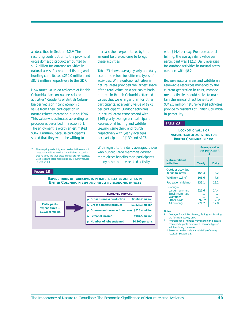as described in Section 4.2.18 The resulting contribution to the provincial gross domestic product amounted to \$1.2 billion for outdoor activities in natural areas. Recreational fishing and hunting contributed \$259.0 million and \$87.9 million respectively to the GDP.

How much value do residents of British Columbia place on nature-related activities? Residents of British Columbia derived significant economic value from their participation in nature-related recreation during 1996. This value was estimated according to procedures described in Section 5.1. The enjoyment is worth an estimated \$342.1 million, because participants stated that they would be willing to

#### **FIGURE 18**

increase their expenditures by this amount before deciding to forego these activities.

Table 23 shows average yearly and daily economic values for different types of activities. While outdoor activities in natural areas provided the largest share of the total value, on a per capita basis, hunters in British Columbia attached values that were larger than for other participants, at a yearly value of \$271 per participant. Outdoor activities in natural areas came second with \$165 yearly average per participant. Recreational fishing and wildlife viewing came third and fourth respectively with yearly averages per participant of \$139 and \$107.

With regard to the daily averages, those who hunted large mammals derived more direct benefits than participants in any other nature-related activity

**EXPENDITURES BY PARTICIPANTS IN NATURE-RELATED ACTIVITIES IN BRITISH COLUMBIA IN 1996 AND RESULTING ECONOMIC IMPACTS**



with \$14.4 per day. For recreational fishing, the average daily value per participant was \$12.2. Daily averages for outdoor activities in natural areas was next with \$8.2.

Because natural areas and wildlife are renewable resources managed by the current generation in trust, management activities should strive to maintain the annual direct benefits of \$342.1 million nature-related activities provide to residents of British Columbia in perpetuity.

### **TABLE 23**

### **ECONOMIC VALUE OF NATURE-RELATED ACTIVITIES FOR BRITISH COLUMBIA IN 1996**

|                                                                                                     | Average value<br>per participant<br>$($)$ |                        |  |
|-----------------------------------------------------------------------------------------------------|-------------------------------------------|------------------------|--|
| Nature-related<br>activities                                                                        | Yearly                                    | <b>Daily</b>           |  |
| <b>Outdoor activities</b><br>in natural areas                                                       | 165.3                                     | 8.2                    |  |
| Wildlife viewing <sup>1</sup>                                                                       | 106.6                                     | 7.6                    |  |
| Recreational fishing <sup>1</sup>                                                                   | 139.1                                     | 12.2                   |  |
| Hunting <sup>1,2</sup><br>Large mammals<br>Small mammals<br>Waterfowl<br>Other birds<br>All hunting | 226.6<br>$92.7*$<br>271.2                 | 14.4<br>$7.3*$<br>17.8 |  |

**Notes:**

- Averages for wildlife viewing, fishing and hunting are for main activity only.
- Averages for all hunting may seem high because many participants hunt more than one type of wildlife during the season.
- \* See note on the statistical reliability of survey results in Section 1.3.

<sup>18</sup> The sampling variability associated with the economic impacts for wildlife viewing is too high to be considered reliable, and thus these impacts are not reported. See note on the statistical reliability of survey results in Section 1.3.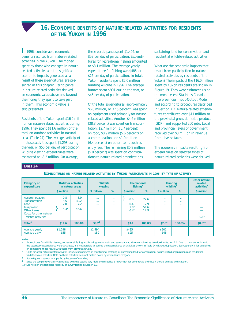### **16. ECONOMIC BENEFITS OF NATURE-RELATED ACTIVITIES FOR RESIDENTS OF THE YUKON IN 1996**

<span id="page-41-0"></span>**I**n 1996, considerable economic benefits resulted from nature-related activities in the Yukon. The money spent by those who engaged in naturerelated activities and the significant economic impacts generated as a result of these expenditures, are presented in this chapter. Participants in nature-related activities derived an economic value above and beyond the money they spent to take part in them. This economic value is also presented.

Residents of the Yukon spent \$16.0 million on nature-related activities during 1996. They spent \$11.6 million of the total on outdoor activities in natural areas (Table 24). The average participant in these activities spent \$1,298 during the year, or \$55 per day of participation. Wildlife viewing expenditures were estimated at \$8.2 million. On average,

these participants spent \$1,494, or \$59 per day of participation. Expenditures for recreational fishing amounted to \$3.1 million. The average yearly expenditure for fishing was \$485, or \$25 per day of participation. In total, Yukon residents spent \$2.0 million hunting wildlife in 1996. The average hunter spent \$901 during the year, or \$46 per day of participation.

Of the total expenditures, approximately \$6.0 million, or 37.5 percent, was spent on equipment used primarily for naturerelated activities. Another \$4.6 million (28.8 percent) was spent on transportation, \$2.7 million (16.7 percent) on food, \$0.9 million (5.6 percent) on accommodation and \$1.0 million (6.4 percent) on other items such as entry fees. The remaining \$0.8 million (5.0 percent) was spent on contributions to nature-related organizations,

sustaining land for conservation and residential wildlife-related activities.

What are the economic impacts that result from participation in naturerelated activities by residents of the Yukon? The impacts of the \$16.0 million spent by Yukon residents are shown in Figure 19. They were estimated using the most recent Statistics Canada Interprovincial Input-Output Model and according to procedures described in Section 4.2. Nature-related expenditures contributed over \$11 million to the provincial gross domestic product (GDP), and supported 200 jobs. Local and provincial levels of government received over \$3 million in revenue from diverse taxes.

The economic impacts resulting from expenditures on selected types of nature-related activities were derived

### **TABLE 24**

**EXPENDITURES ON NATURE-RELATED ACTIVITIES BY YUKON PARTICIPANTS IN 1996, BY TYPE OF ACTIVITY**

| <b>Category of</b><br>expenditure                                                                                    | \$ million                  | <b>Outdoor activities</b><br>in natural areas<br>% | \$ million                                          | <b>Wildlife</b><br>viewing <sup>1</sup><br>%           | fishing <sup>1</sup><br>\$ million | Recreational<br>%            | wildlife <sup>1</sup><br>\$ million                                  | <b>Hunting</b><br>%                                          | Other nature-<br>related<br>activities <sup>2</sup><br>\$ million |
|----------------------------------------------------------------------------------------------------------------------|-----------------------------|----------------------------------------------------|-----------------------------------------------------|--------------------------------------------------------|------------------------------------|------------------------------|----------------------------------------------------------------------|--------------------------------------------------------------|-------------------------------------------------------------------|
| Accommodation<br>Transportation<br>Food<br>Equipment<br>Other items<br>Costs for other nature-<br>related activities | 0.8<br>3.5<br>2.0<br>$5.3*$ | 6.9<br>30.2<br>17.2<br>46.6                        | $\sim$ $\sim$<br>$\sim$<br>$\sim$<br>1.11<br>$\sim$ | $\cdots$<br>$\sim$<br>1.11<br><b>A 6 6 1</b><br>$\sim$ | 0.6<br>0.4<br>$1.6*$<br>$0.4*$     | 22.6<br>12.9<br>51.6<br>12.9 | 1.11<br><b>A 6 6 1</b><br><b>A 6 6 1</b><br><b>A 6 6 1</b><br>$\sim$ | 1.11<br>$\sim$<br><b>A 6 6 1</b><br><b>A 6 6 1</b><br>$\sim$ | $0.8*$                                                            |
| Total $3$                                                                                                            | \$11.6                      | 100.0%                                             | \$8.2 <sup>4</sup>                                  |                                                        | \$3.1                              | 100.0%                       | $$2.0*$                                                              | 100.0%                                                       | $$0.8**$                                                          |
| Average yearly<br>Average daily                                                                                      | \$1.298<br>\$55             |                                                    | \$1,494<br>\$59                                     |                                                        | \$485<br>\$25                      |                              | \$901<br>\$46                                                        |                                                              |                                                                   |

**Notes:** 

Expenditures for wildlife viewing, recreational fishing and hunting are for main and secondary activities combined as described in Section 2.1. Due to the manner in which the secondary expenditures were calculated, it is not possible to add up the expenditures on activities shown in Table 24 without duplication. See Appendix II for guidelines on comparing these results with those from previous surveys.

2 Costs for other nature-related activities include expenditures on maintaining, restoring or purchasing land for conservation, nature-related organizations and residential wildlife-related activities. Data on these activities were not broken down by expenditure category.

Some figures may not total perfectly because of rounding.

Since the sampling variability associated with this total is very high, the reliability is lower than for other totals and thus it should be used with caution.

...}\* See note on the statistical reliability of survey results in Section 1.3.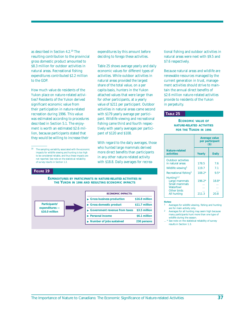as described in Section 4.2.19 The resulting contribution to the provincial gross domestic product amounted to \$8.3 million for outdoor activities in natural areas. Recreational fishing expenditures contributed \$2.2 million to the GDP.

How much value do residents of the Yukon place on nature-related activities? Residents of the Yukon derived significant economic value from their participation in nature-related recreation during 1996. This value was estimated according to procedures described in Section 5.1. The enjoyment is worth an estimated \$2.6 million, because participants stated that they would be willing to increase their

#### **FIGURE 19**

**EXPENDITURES BY PARTICIPANTS IN NATURE-RELATED ACTIVITIES IN THE YUKON IN 1996 AND RESULTING ECONOMIC IMPACTS**



expenditures by this amount before deciding to forego these activities.

Table 25 shows average yearly and daily economic values for different types of activities. While outdoor activities in natural areas provided the largest share of the total value, on a per capita basis, hunters in the Yukon attached values that were larger than for other participants, at a yearly value of \$211 per participant. Outdoor activities in natural areas came second with \$179 yearly average per participant. Wildlife viewing and recreational fishing came third and fourth respectively with yearly averages per participant of \$120 and \$108.

With regard to the daily averages, those who hunted large mammals derived more direct benefits than participants in any other nature-related activity with \$18.8. Daily averages for recreational fishing and outdoor activities in natural areas were next with \$9.5 and \$7.6 respectively.

Because natural areas and wildlife are renewable resources managed by the current generation in trust, management activities should strive to maintain the annual direct benefits of \$2.6 million nature-related activities provide to residents of the Yukon in perpetuity.

### **TABLE 25**

**ECONOMIC VALUE OF NATURE-RELATED ACTIVITIES FOR THE YUKON IN 1996**

|                                                                                                     | Average value<br>per participant<br>$($)$ |                 |  |
|-----------------------------------------------------------------------------------------------------|-------------------------------------------|-----------------|--|
| Nature-related<br>activities                                                                        | Yearly                                    | <b>Daily</b>    |  |
| <b>Outdoor activities</b><br>in natural areas                                                       | 178.5                                     | 7.6             |  |
| Wildlife viewing <sup>1</sup>                                                                       | 119.7                                     | 7.1             |  |
| Recreational fishing <sup>1</sup>                                                                   | $108.2*$                                  | $9.5*$          |  |
| Hunting <sup>1,2</sup><br>Large mammals<br>Small mammals<br>Waterfowl<br>Other birds<br>All hunting | $196.2*$<br>211.3                         | $18.8*$<br>20 R |  |

#### **Notes:**

Averages for wildlife viewing, fishing and hunting are for main activity only.

- Averages for all hunting may seem high because many participants hunt more than one type of wildlife during the season
- \* See note on the statistical reliability of survey results in Section 1.3.

 $^{19}$   $\;$  The sampling variability associated with the economic impacts for wildlife viewing and hunting is too high to be considered reliable, and thus these impacts are not reported. See note on the statistical reliability of survey results in Section 1.3.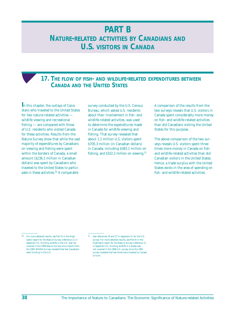# <span id="page-43-0"></span>**PART B NATURE-RELATED ACTIVITIES BY CANADIANS AND U.S. VISITORS IN CANADA**

## **17. THE FLOW OF FISH- AND WILDLIFE-RELATED EXPENDITURES BETWEEN CANADA AND THE UNITED STATES**

**I**n this chapter, the outlays of Canadians who traveled to the United States for two nature-related activities wildlife viewing and recreational fishing — are compared with those of U.S. residents who visited Canada for these activities. Results from the Nature Survey show that while the vast majority of expenditures by Canadians on viewing and fishing were spent within the borders of Canada, a small amount (\$236.1 million in Canadian dollars) was spent by Canadians who traveled to the United States to participate in these activities.<sup>20</sup> A comparable

survey conducted by the U.S. Census Bureau, which asked U.S. residents about their involvement in fish- and wildlife-related activities, was used to determine the expenditures made in Canada for wildlife viewing and fishing. That survey revealed that about 1.1 million U.S. visitors spent \$705.3 million (in Canadian dollars) in Canada; including \$383.1 million on fishing, and \$322.2 million on viewing.<sup>21</sup> A comparison of the results from the two surveys reveals that U.S. visitors in Canada spent considerably more money on fish- and wildlife-related activities than did Canadians visiting the United States for this purpose.

The above comparison of the two surveys reveals U.S. visitors spent three times more money in Canada on fishand wildlife-related activities than did Canadian visitors in the United States. Hence, a trade surplus with the United States exists in the area of spending on fish- and wildlife-related activities.

<sup>20</sup> For more detailed results, see Part B in the Highlights report for the Nature Survey (reference 11 in Appendix III). Hunting wildlife in the U.S. was not covered in the 1996 Nature Survey since results from the 1991 Wildlife Survey revealed that few Canadians went hunting in the U.S..

<sup>21</sup> See references 16 and 17 in Appendix III for the U.S. survey. For more detailed results, see Part B in the Highlights report for the Nature Survey (reference 11 in Appendix III). Hunting wildlife in Canada was not covered in the 1996 U.S. survey since the 1991 survey revealed that few Americans traveled to Canada to hunt.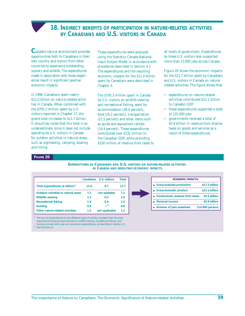### **18. INDIRECT BENEFITS OF PARTICIPATION IN NATURE-RELATED ACTIVITIES BY CANADIANS AND U.S. VISITORS IN CANADA**

<span id="page-44-0"></span>**C**anada's natural environment provides opportunities both to Canadians in their own country and visitors from other countries to experience outstanding scenery and wildlife. The expenditures made in association with these experiences result in significant positive economic impacts.

In 1996, Canadians spent nearly \$11.0 billion on nature-related activities in Canada. When combined with the \$705.3 million spent by U.S. visitors reported in Chapter 17, the grand total increases to \$11.7 billion. It should be noted that this total is an underestimate, since it does not include spending by U.S. visitors in Canada for outdoor activities in natural areas, such as sightseeing, camping, boating and hiking.

These expenditures were analyzed using the Statistics Canada National Input-Output Model in accordance with procedures described in Section 4.2. The expenditures and the resulting economic impacts for the \$11.0 billion spent by Canadians were described in Chapter 4.

The \$705.3 million spent in Canada by U.S. visitors on wildlife viewing and recreational fishing, went for accommodation (38.9 percent), food (25.2 percent), transportation (21.5 percent) and other items such as guide and equipment rentals (14.4 percent). These expenditures contributed over \$732 million to the Canadian GDP, while providing \$330 million of revenue from taxes to all levels of government. Expenditures by these U.S. visitors also supported more than 13,000 jobs across Canada.

Figure 20 shows the economic impacts for the \$11.7 billion spent by Canadians and U.S. visitors in Canada on naturerelated activities. The figure shows that:

- expenditures on nature-related activities contributed \$12.1 billion to Canada's GDP
- these expenditures supported a total of 215,000 jobs
- governments received a total of \$5.4 billion in revenue from diverse taxes on goods and services as a result of these expenditures.

### **FIGURE 20**

**EXPENDITURES BY CANADIANS AND U.S. VISITORS ON NATURE-RELATED ACTIVITIES IN CANADA AND RESULTING ECONOMIC IMPACTS**

|                                              |      | Canadians U.S. visitors | <b>Total</b> |
|----------------------------------------------|------|-------------------------|--------------|
| Total expenditures (\$ billion) <sup>1</sup> | 11.0 | 0.7                     | 11.7         |
| <b>Outdoor activities in natural areas</b>   | 7.2  | not available           | 7.2          |
| <b>Wildlife viewing</b>                      | 1.3  | 0.3                     | 1.6          |
| <b>Recreational fishing</b>                  | 1.9  | 0.4                     | 2.3          |
| <b>Hunting</b>                               | 0.8  |                         | 0.8          |
| Other nature-related activities              | 1.2  | not applicable          | 1.2          |

<sup>1</sup> The sum of expenditures for the different types of activity is greater than the total expenditures because expenditures for wildlife viewing, recreational fishing, and hunting include both main and secondary expenditures, as described in Section 2.1.

<sup>2</sup> See footnote 21.

| <b>ECONOMIC IMPACTS:</b>                       |                 |
|------------------------------------------------|-----------------|
| Gross business production                      | \$17.3 billion  |
| $\blacktriangleright$ Gross domestic product   | \$12.1 billion  |
| Government revenue from taxes                  | \$5.4 billion   |
| <b>Personal income</b>                         | \$5.9 billion   |
| $\blacktriangleright$ Number of jobs sustained | 214,800 persons |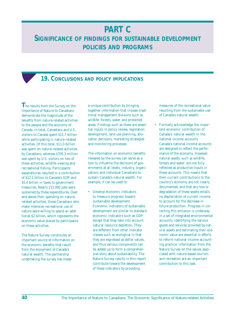# **PART C**

# <span id="page-45-0"></span>**SIGNIFICANCE OF FINDINGS FOR SUSTAINABLE DEVELOPMENT POLICIES AND PROGRAMS**

# **19. CONCLUSIONS AND POLICY IMPLICATIONS**

**T**he results from the Survey on the Importance of Nature to Canadians demonstrate the magnitude of the benefits from nature-related activities to the people and the economy of Canada. In total, Canadians and U.S. visitors to Canada spent \$11.7 billion while participating in nature-related activities. Of this total, \$11.0 billion was spent on nature-related activities by Canadians, whereas \$705.3 million was spent by U.S. visitors on two of these activities, wildlife viewing and recreational fishing. Participants' expenditures resulted in a contribution of \$12.1 billion to Canada's GDP and \$5.4 billion in taxes to government treasuries. Nearly 215,000 jobs were sustained by these expenditures. Over and above their spending on naturerelated activities, those Canadians who make intensive recreational use of nature were willing to spend an additional \$2 billion, which represents the economic value placed by participants on these activities.

The Nature Survey constitutes an important source of information on the economic benefits that result from the enjoyment of Canada's natural wealth. The partnership undertaking the survey has made

a unique contribution by bringing together information that crosses traditional management divisions such as wildlife, forests, water and protected areas. Findings such as these are essential inputs in policy review, legislation development, land use planning, allocation decisions, marketing strategies and monitoring processes.

The information on economic benefits revealed by the survey can serve as a tool to influence the decisions of governments at all levels, industry, organizations and individual Canadians to sustain Canada's natural wealth. For example, it can be used to:

### • Develop economic indicators to measure progress toward sustainable development Economic indicators of sustainable

development are similar to standard economic indicators such as GDP except that they take into account natural resource depletion. They are different from other indicator classes such as ecological in that they are expressed as dollar values, and thus various components can be added up to form a comprehensive story about sustainability. The Nature Survey results in this report contribute toward the development of these indicators by providing

measures of the recreational value resulting from the sustainable use of Canada's natural wealth.

• Formally acknowledge the important economic contribution of Canada's natural wealth in the national income accounts Canada's national income accounts

are designed to reflect the performance of the economy. However, natural assets, such as wildlife, forests and water, are not fully reflected as productive inputs in these accounts. This means that their current contributions to the country's economy are not clearly documented, and that any loss or degradation of these assets entails no depreciation of current income to account for the decrease in future production. Progress in correcting this omission is underway in a set of integrated environmental accounts. Identifying the various goods and services provided by natural assets and estimating their economic value are essential in efforts to reform national income accounting practice. Information from the Nature Survey on the values associated with nature-based tourism and recreation are an important contribution to this task.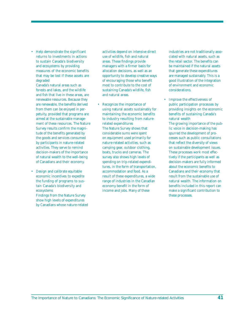• Help demonstrate the significant returns to investments in actions to sustain Canada's biodiversity and ecosystems by providing measures of the economic benefits that may be lost if these assets are degraded

Canada's natural areas such as forests and lakes, and the wildlife and fish that live in these areas, are renewable resources. Because they are renewable, the benefits derived from them can be enjoyed in perpetuity, provided that programs are aimed at the sustainable management of these resources. The Nature Survey results confirm the magnitude of the benefits generated by the goods and services consumed by participants in nature-related activities. They serve to remind decision-makers of the importance of natural wealth to the well-being of Canadians and their economy.

• Design and calibrate equitable economic incentives to expedite the funding of programs to sustain Canada's biodiversity and ecosystems

Findings from the Nature Survey show high levels of expenditures by Canadians whose nature-related activities depend on intensive direct use of wildlife, fish and natural areas. These findings provide managers with a firmer basis for allocation decisions, as well as an opportunity to develop creative ways of encouraging those who benefit most to contribute to the cost of sustaining Canada's wildlife, fish and natural areas.

Recognize the importance of using natural assets sustainably for maintaining the economic benefits to industry resulting from naturerelated expenditures

The Nature Survey shows that considerable sums were spent on equipment used primarily for nature-related activities, such as camping gear, outdoor clothing, boats, trucks and cameras. The survey also shows high levels of spending on trip-related expenditures, in the form of transportation, accommodation and food. As a result of these expenditures, a wide range of industries in the Canadian economy benefit in the form of income and jobs. Many of these

industries are not traditionally associated with natural assets, such as the retail sector. The benefits can be maintained if the natural assets that generate these expenditures are managed sustainably. This is a good illustration of the integration of environment and economic considerations.

• Improve the effectiveness of public participation processes by providing insights on the economic benefits of sustaining Canada's natural wealth

The growing importance of the public voice in decision-making has spurred the development of processes such as public consultations that reflect the diversity of views on sustainable development issues. These processes work most effectively if the participants as well as decision-makers are fully informed about the economic benefits to Canadians and their economy that result from the sustainable use of natural wealth. The information on benefits included in this report can make a significant contribution to these processes.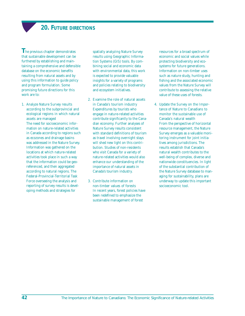# **20. FUTURE DIRECTIONS**

<span id="page-47-0"></span>**The previous chapter demonstrates** that sustainable development can be furthered by establishing and maintaining a comprehensive and defensible database on the economic benefits resulting from natural assets and by using this information to guide policy and program formulation. Some promising future directions for this work are to:

1. Analyze Nature Survey results according to the subprovincial and ecological regions in which natural assets are managed

The need for socioeconomic information on nature-related activities in Canada according to regions such as ecozones and drainage basins was addressed in the Nature Survey. Information was gathered on the locations at which nature-related activities took place in such a way that the information could be georeferenced, and then aggregated according to natural regions. The Federal-Provincial-Territorial Task Force overseeing the analysis and reporting of survey results is developing methods and strategies for

spatially analyzing Nature Survey results using Geographic Information Systems (GIS) tools. By combining social and economic data with environmental data, this work is expected to provide valuable insights for a variety of programs and policies relating to biodiversity and ecosystem initiatives.

- 2. Examine the role of natural assets in Canada's tourism industry Expenditures by tourists who engage in nature-related activities contribute significantly to the Canadian economy. Further analyses of Nature Survey results consistent with standard definitions of tourism as travel involving overnight stays will shed new light on this contribution. Studies of non-residents who visit Canada for a variety of nature-related activities would also enhance our understanding of the importance of natural assets in Canada's tourism industry.
- 3. Contribute information on non-timber values of forests In recent years, forest policies have been redefined to emphasize the sustainable management of forest

resources for a broad spectrum of economic and social values while protecting biodiversity and ecosystems for future generations. Information on non-timber uses such as nature study, hunting and fishing and the associated economic values from the Nature Survey will contribute to assessing the relative value of these uses of forests.

4. Update the Survey on the Importance of Nature to Canadians to monitor the sustainable use of Canada's natural wealth From the perspective of horizontal resource management, the Nature Survey emerges as a valuable monitoring instrument for joint initiatives among jurisdictions. The results establish that Canada's natural wealth contributes to the well-being of complex, diverse and nationwide constituencies. In light of the substantial contribution of the Nature Survey database to managing for sustainability, plans are underway to update this important socioeconomic tool.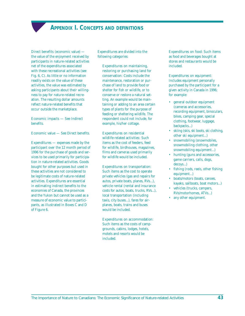# **APPENDIX I. CONCEPTS AND DEFINITIONS**

<span id="page-48-0"></span>Direct benefits (economic value) the value of the enjoyment received by participants in nature-related activities net of the expenditures associated with these recreational activities (see Fig. 6, C). As little or no information readily exists on the value of these activities, the value was estimated by asking participants about their willingness to pay for nature-related recreation. The resulting dollar amounts reflect nature-related benefits that occur outside the marketplace.

### Economic impacts — See Indirect benefits.

Economic value — See Direct benefits.

Expenditures — expenses made by the participant over the 12 month period of 1996 for the purchase of goods and services to be used primarily for participation in nature-related activities. Goods bought for other purposes but used in these activities are not considered to be legitimate costs of nature-related activities. Expenditures are essential in estimating indirect benefits to the economies of Canada, the provinces and the Yukon but cannot be used as a measure of economic value to participants, as illustrated in Boxes C and D of Figure 6.

Expenditures are divided into the following categories:

Expenditures on maintaining, restoring or purchasing land for conservation: Costs include the maintenance, restoration or purchase of land to provide food or shelter for fish or wildlife, or to conserve or restore a natural setting. An example would be maintaining or adding to an area certain types of plants for the purpose of feeding or sheltering wildlife. The respondent could not include, for example, his/her cottage.

### Expenditures on residential wildlife-related activities: Such items as the cost of feeders, feed for wildlife, birdhouses, magazines, films and cameras used primarily for wildlife would be included.

#### Expenditures on transportation:

Such items as the cost to operate private vehicles (gas and repairs for autos, private boats, planes, RVs...), vehicle rental (rental and insurance costs for autos, boats, trucks, RVs...), local transportation (including taxis, city buses...), fares for airplanes, boats, trains and buses would be included.

#### Expenditures on accommodation:

Such items as the costs of campgrounds, cabins, lodges, hotels, motels and resorts would be included.

Expenditures on food: Such items as food and beverages bought at stores and restaurants would be included.

### Expenditures on equipment:

Includes equipment personally purchased by the participant for a given activity in Canada in 1996; for example:

- general outdoor equipment (cameras and accessories, recording equipment, binoculars, bikes, camping gear, special clothing, footwear, luggage, backpacks...)
- skiing (skis, ski boots, ski clothing, other ski equipment...)
- snowmobiling (snowmobiles, snowmobiling clothing, other snowmobiling equipment...)
- hunting (guns and accessories, game carriers, calls, dogs, decoys...)
- fishing (rods, reels, other fishing equipment...)
- boats/motors (boats, canoes, kayaks, sailboats, boat motors...)
- vehicles (trucks, campers, RVs/motorhomes, ATVs...)
- any other equipment.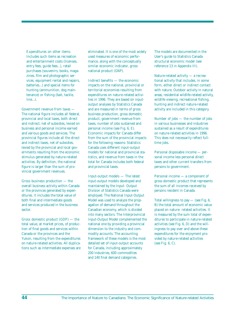Expenditures on other items:

Includes such items as recreation and entertainment costs (licenses, entry fees, guide fees...), retail purchases (souvenirs, books, magazines, film and photographic services, equipment rental and repairs, batteries...) and special items for hunting (ammunition, dog maintenance) or fishing (bait, tackle, line...).

Government revenue from taxes —

The national figure includes all federal, provincial and local taxes, both direct and indirect, net of subsidies, levied on business and personal income earned and various goods and services. The provincial figures include all the direct and indirect taxes, net of subsidies, levied by the provincial and local governments resulting from the economic stimulus generated by nature-related activities. By definition, the national figure is larger than the sum of provincial government revenues.

Gross business production — the overall business activity within Canada or the provinces generated by expenditures. It includes the total value of both final and intermediate goods and services produced in the business sector.

Gross domestic product (GDP) — the total value, at market prices, of production of final goods and services within Canada or the provinces and the Yukon, resulting from the expenditures on nature-related activities. All duplications such as intermediate expenses are

eliminated. It is one of the most widely used measures of economic performance, along with the conceptually similar economic indicator, gross national product (GNP).

Indirect benefits — the economic impacts on the national, provincial or territorial economies resulting from expenditures on nature-related activities in 1996. They are based on inputoutput analyses by Statistics Canada and are measured in terms of gross business production, gross domestic product, government revenue from taxes, number of jobs sustained and personal income (see Fig. 6, E). Economic impacts for Canada differ from the sum of the provincial impacts for the following reasons: Statistics Canada uses different input-output models for national and provincial statistics, and revenue from taxes in the total for Canada includes both federal and provincial taxes.

Input-output models — The latest input-output models developed and maintained by the Input- Output Division of Statistics Canada were employed. The National Input-Output Model was used to analyze the propagation of demand throughout the Canadian economy, which is divided into many sectors. The Interprovincial Input-Output Model complemented the national one by providing a provincial dimension to the industry and commodity accounts. The accounting framework of these models is the most detailed set of input-output accounts for Canada, including approximately 200 industries, 600 commodities and 140 final demand categories.

The models are documented in the User's guide to Statistics Canada structural economic model (see reference 13 in Appendix III).

Nature-related activity — a recreational activity that includes, in some form, either direct or indirect contact with nature. Outdoor activity in natural areas, residential wildlife-related activity, wildlife viewing, recreational fishing, hunting and indirect nature-related activity are included in this category.

Number of jobs — the number of jobs in various businesses and industries sustained as a result of expenditures on nature-related activities in 1996. This does not necessarily reflect fulltime jobs.

Personal disposable income — personal income less personal direct taxes and other current transfers from persons to government.

Personal income — a component of gross domestic product that represents the sum of all incomes received by persons resident in Canada.

Total willingness to  $pay - (see Fig. 6,$ B) the total amount of economic value placed on nature- related activities. It is measured by the sum total of expenditures to participate in nature-related activities (see Fig. 6, D) and the willingness to pay over and above these expenditures for the enjoyment provided by nature-related activities (see Fig. 6, C).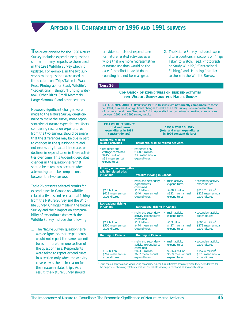# **APPENDIX II. COMPARABILITY OF 1996 AND 1991 SURVEYS**

<span id="page-50-0"></span>**T**he questionnaire for the 1996 Nature Survey included expenditure questions similar in many respects to those used in the 1991 Wildlife Survey which it updated. For example, in the two surveys similar questions were used in the sections on "Trips Taken to Watch, Feed, Photograph or Study Wildlife", "Recreational Fishing", "Hunting Waterfowl, Other Birds, Small Mammals, Large Mammals" and other sections.

However, significant changes were made to the Nature Survey questionnaire to make the survey more representative of nature expenditures. Users comparing results on expenditures from the two surveys should be aware that the differences may be due in part to changes in the questionnaire and not necessarily to actual increases or declines in expenditures in these activities over time. This Appendix describes changes in the questionnaire that should be taken into account when attempting to make comparisons between the two surveys.

Table 26 presents selected results for expenditures in Canada on wildliferelated activities and recreational fishing from the Nature Survey and the Wildlife Survey. Changes made in the Nature Survey and their impact on comparability of expenditure data with the Wildlife Survey include the following:

1. The Nature Survey questionnaire was designed so that respondents would not report the same expenditures in more than one section of the questionnaire. Respondents were asked to report expenditures in a section only when the activity covered was the main reason for their nature-related trips. As a result, the Nature Survey should

provide estimates of expenditures for nature-related activities as a whole that are more representative of nature use than would be the case if the effort to avoid double counting had not been as great.

2. The Nature Survey included expenditure questions in sections on "Trips Taken to Watch, Feed, Photograph or Study Wildlife," "Recreational Fishing," and "Hunting," similar to those in the Wildlife Survey.

### **TABLE 26**

#### **COMPARISON OF EXPENDITURES ON SELECTED ACTIVITIES, 1991 WILDLIFE SURVEY AND 1996 NATURE SURVEY**

**DATA COMPARABILITY:** Results for 1996 in this table are **not directly comparable** to those for 1991, as a result of significant changes to make the 1996 survey more representative of nature expenditures. See points 1-8 in Appendix II for guidelines on making comparisons between 1991 and 1996 survey results.

| <b>1991 WILDLIFE SURVEY</b><br>(total and mean<br>expenditures in 1991<br>constant dollars)  |                                                                         | <b>1996 NATURE SURVEY</b><br>(total and mean expenditures<br>in 1996 constant dollars) |                                                                    |  |  |
|----------------------------------------------------------------------------------------------|-------------------------------------------------------------------------|----------------------------------------------------------------------------------------|--------------------------------------------------------------------|--|--|
| <b>Residential wildlife-</b><br>related activities                                           | <b>Residential wildlife-related activities</b>                          |                                                                                        |                                                                    |  |  |
| • residence and<br>cottage combined<br>\$445.6 million<br>\$31 mean annual<br>expenditures   | • residence only<br>\$320.5 million<br>\$35 mean annual<br>expenditures |                                                                                        |                                                                    |  |  |
| Primary non-consumptive<br>wildlife-related trips<br>in Canada<br>Wildlife viewing in Canada |                                                                         |                                                                                        |                                                                    |  |  |
|                                                                                              | • main and secondary<br>expenditures                                    | • main activity<br>expenditures                                                        | • secondary activity<br>expenditures                               |  |  |
| \$2.3 billion<br>\$613 mean annual<br>expenditures                                           | combined<br>\$1.3 billion<br>\$340 mean annual<br>expenditures          | \$488.1 million<br>\$322 mean annual<br>expenditures                                   | \$813.7 million $1$<br>\$222 mean annual<br>expenditures           |  |  |
| <b>Recreational fishing</b><br>in Canada                                                     | <b>Recreational fishing in Canada</b>                                   |                                                                                        |                                                                    |  |  |
|                                                                                              | • main and secondary<br>activity expenditures<br>combined               | • main activity<br>expenditures                                                        | • secondary activity<br>expenditures                               |  |  |
| \$2.7 billion<br>\$500 mean annual<br>expenditures                                           | \$1.9 billion<br>\$474 mean annual<br>expenditures                      | \$1.3 billion<br>\$427 mean annual<br>expenditures                                     | $$605.4$ million <sup>1</sup><br>\$273 mean annual<br>expenditures |  |  |
| <b>Hunting in Canada</b>                                                                     | <b>Hunting in Canada</b>                                                |                                                                                        |                                                                    |  |  |
|                                                                                              | • main and secondary<br>activity expenditures<br>combined               | • main activity<br>expenditures                                                        | • secondary activity<br>expenditures                               |  |  |
| \$1.2 billion<br>\$767 mean annual<br>expenditures                                           | \$823.8 million<br>\$687 mean annual<br>expenditures                    | \$666.4 million<br>\$669 mean annual<br>expenditures                                   | $$157.4$ million <sup>1</sup><br>\$378 mean annual<br>expenditures |  |  |

<sup>1</sup> Users should apply caution when using secondary expenditure estimates separately since they were derived for the purpose of obtaining total expenditures for wildlife viewing, recreational fishing and hunting.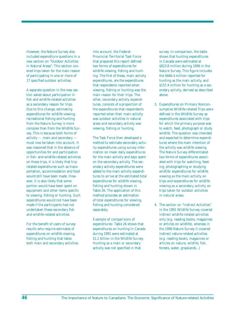However, the Nature Survey also included expenditure questions in a new section on "Outdoor Activities in Natural Areas". This section covered trips taken for the main reason of participating in one or more of 17 specified outdoor activities.

A separate question in the new section asked about participation in fish and wildlife-related activities as a secondary reason for trips. Due to this change, estimating expenditures for wildlife viewing, recreational fishing and hunting from the Nature Survey is more complex than from the Wildlife Survey. This is because both forms of activity — main and secondary must now be taken into account. It was reasoned that in the absence of opportunities for and participation in fish- and wildlife-related activities on these trips, it is likely that triprelated expenditures such as transportation, accommodation and food would still have been made. However, it is also likely that some portion would have been spent on equipment and other items specific to viewing, fishing or hunting. Such expenditures would not have been made if the participants had not undertaken these secondary fish and wildlife-related activities.

For the benefit of users of survey results who require estimates of expenditures on wildlife viewing, fishing and hunting that takes both main and secondary activities into account, the Federal-Provincial-Territorial Task Force that prepared this report defined two forms of expenditures for wildlife viewing, fishing and hunting. The first of these, main activity expenditures, are the expenditures that respondents reported when viewing, fishing or hunting was the main reason for their trips. The other, secondary activity expenditures, consists of a proportion of the expenditures that respondents reported when their main activity was outdoor activities in natural areas *and* secondary activity was viewing, fishing or hunting.

The Task Force then developed a method to estimate secondary activity expenditures using survey information on mean daily expenditures for the main activity and days spent on the secondary activity. The secondary activity expenditures were added to the main activity expenditures to arrive at the estimated total expenditures for wildlife viewing, fishing and hunting shown in Table 26. The application of this method provides an estimation of total expenditures for viewing, fishing and hunting considered separately.

*Example of comparisons of expenditures:* Table 26 shows that expenditures on hunting in Canada during 1991 were estimated at \$1.2 billion in the Wildlife Survey. Hunting as a main or secondary activity was not specified in that

survey. In comparison, the table shows that hunting expenditures in Canada were estimated at \$823.8 million during 1996 in the Nature Survey. This figure includes the \$666.4 million reported for hunting as the main activity, and \$157.4 million for hunting as a secondary activity, derived as described above.

- 3. *Expenditures on Primary Nonconsumptive Wildlife-related Trips* were defined in the Wildlife Survey as expenditures associated with trips for which the primary purpose was to watch, feed, photograph or study wildlife. The question was intended and expected to determine expenditures where the main intention of the activity was wildlife viewing. The Nature Survey differentiated two forms of expenditures associated with trips for watching, feeding, photographing or studying wildlife: *expenditures for wildlife viewing as the main activity on trips and expenditures for wildlife viewing as a secondary activity on trips taken for outdoor activities in natural areas.*
- 4. The section on "Indirect Activities" in the 1991 Wildlife Survey covered indirect wildlife-related activities only (e.g. reading books, magazines or articles on wildlife), whereas in the 1996 Nature Survey it covered indirect nature-related activities (e.g. reading books, magazines or articles on nature, wildlife, fish, forests, water, grasslands...)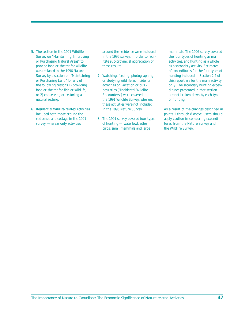- 5. The section in the 1991 Wildlife Survey on "Maintaining, Improving or Purchasing Natural Areas" to provide food or shelter for wildlife was replaced in the 1996 Nature Survey by a section on "Maintaining or Purchasing Land" for any of the following reasons 1) providing food or shelter for fish or wildlife, or 2) conserving or restoring a natural setting.
- 6. *Residential Wildlife-related Activities* included both those around the residence and cottage in the 1991 survey, whereas only activities

around the residence were included in the 1996 survey, in order to facilitate sub-provincial aggregation of these results.

- 7. *Watching, feeding, photographing or studying wildlife as incidental activities on vacation or business trips ("Incidental Wildlife Encounters")* were covered in the 1991 Wildlife Survey, whereas these activities were not included in the 1996 Nature Survey.
- 8. The 1991 survey covered four *types of hunting* — waterfowl, other birds, small mammals and large

mammals. The 1996 survey covered the four types of hunting as main activities, and hunting as a whole as a secondary activity. Estimates of expenditures for the four types of hunting included in Section 2.4 of this report are for the main activity only. The secondary hunting expenditures presented in that section are not broken down by each type of hunting.

As a result of the changes described in points 1 through 8 above, users should apply caution in comparing expenditures from the Nature Survey and the Wildlife Survey.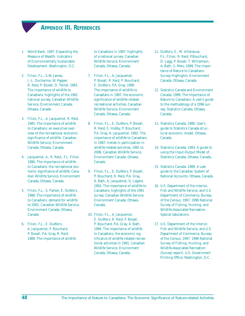# **APPENDIX III. REFERENCES**

- <span id="page-53-0"></span>1. World Bank. 1997. Expanding the Measure of Wealth: Indicators of Environmentally Sustainable Development. Washington, D.C.
- 2. Filion, F.L., S.W. James, J.-L. Ducharme, W. Pepper, R. Reid, P. Boxall, D. Teillet. 1983. The importance of wildlife to Canadians: highlights of the 1981 national survey. Canadian Wildlife Service, Environment Canada, Ottawa, Canada.
- 3. Filion, F.L., A. Jacquemot, R. Reid. 1985. The importance of wildlife to Canadians: an executive overview of the recreational economic significance of wildlife. Canadian Wildlife Service, Environment Canada, Ottawa, Canada.
- 4. Jacquemot, A., R. Reid., F.L. Filion. 1986. The importance of wildlife to Canadians: the recreational economic significance of wildlife. Canadian Wildlife Service, Environment Canada, Ottawa, Canada.
- 5. Filion, F.L., S. Parker, E. DuWors. 1988. The importance of wildlife to Canadians: demand for wildlife to 2001. Canadian Wildlife Service, Environment Canada, Ottawa, Canada.
- 6. Filion, F.L., E. DuWors, A. Jacquemot, P. Bouchard, P. Boxall, P.A. Gray, R. Reid. 1989. The importance of wildlife

to Canadians in 1987: highlights of a national survey. Canadian Wildlife Service, Environment Canada, Ottawa, Canada.

- 7. Filion, F.L., A. Jacquemot, P. Boxall, R. Reid, P. Bouchard, E. DuWors, P.A. Gray. 1990. The importance of wildlife to Canadians in 1987: the economic significance of wildlife-related recreational activities. Canadian Wildlife Service, Environment Canada, Ottawa, Canada.
- 8. Filion, F.L., E. DuWors, P. Boxall, R. Reid, E. Hobby, P. Bouchard, P.A. Gray, A. Jacquemot. 1992. The importance of wildlife to Canadians in 1987: trends in participation in wildlife-related activities, 1981 to 2006. Canadian Wildlife Service, Environment Canada, Ottawa, Canada.
- 9. Filion, F.L., E. DuWors, P. Boxall, P. Bouchard, R. Reid, P.A. Gray, A. Bath, A. Jacquemot, G. Legare. 1993. The importance of wildlife to Canadians: highlights of the 1991 survey. Canadian Wildlife Service, Environment Canada, Ottawa, Canada.
- 10. Filion, F.L., A. Jacquemot, E. DuWors, R. Reid, P. Boxall, P. Bouchard, P.A. Gray, A. Bath. 1994. The importance of wildlife to Canadians: the economic significance of wildlife-related recreational activities in 1991. Canadian Wildlife Service, Environment Canada, Ottawa, Canada.
- 11. DuWors, E., M. Villeneuve, F.L. Filion, R. Reid, P.Bouchard, D. Legg, P. Boxall, T. Williamson, A. Bath, S. Meis. 1999. The Importance of Nature to Canadians: Survey Highlights. Environment Canada, Ottawa, Canada.
- 12. Statistics Canada and Environment Canada. 1999. The Importance of Nature to Canadians: A user's guide to the methodology of a 1996 survey. Statistics Canada, Ottawa, Canada.
- 13. Statistics Canada. 1980. User's guide to Statistics Canada structural economic model. Ottawa, Canada.
- 14. Statistics Canada. 1993. A guide to using the Input-Output Model of Statistics Canada. Ottawa, Canada.
- 15. Statistics Canada. 1989. A user guide to the Canadian System of National Accounts. Ottawa, Canada.
- 16. U.S. Department of the Interior, Fish and Wildlife Service, and U.S. Department of Commerce, Bureau of the Census. 1997. 1996 National Survey of Fishing, Hunting, and Wildlife-Associated Recreation. Special tabulations.
- 17. U.S. Department of the Interior, Fish and Wildlife Service, and U.S. Department of Commerce, Bureau of the Census. 1997. 1996 National Survey of Fishing, Hunting, and Wildlife-Associated Recreation. (Survey report). U.S. Government Printing Office, Washington, D.C.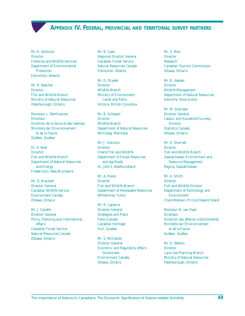**APPENDIX IV. FEDERAL, PROVINCIAL AND TERRITORIAL SURVEY PARTNERS**

<span id="page-54-0"></span>Mr. K. Ambrock **Director** Fisheries and Wildlife Services Department of Environmental Protection Edmonton, Alberta

Mr. R. Beecher **Director** Fish and Wildlife Branch Ministry of Natural Resources Peterborough, Ontario

Monsieur L. Berthiaume **Directeur** Direction de la faune et des habitats Ministère de l'Environnement et de la Faune Québec, Québec

Dr. A. Boer **Director** Fish and Wildlife Branch Department of Natural Resources and Energy Fredericton, New Brunswick

Mr. D. Brackett Director General Canadian Wildlife Service Environment Canada Ottawa, Ontario

Mr. J. Carette Director General Policy, Planning and International Affairs Canadian Forest Service Natural Resources Canada Ottawa, Ontario

Mr. B. Case Regional Director General Canadian Forest Service Natural Resources Canada Edmonton, Alberta

Mr. D. Dryden **Director** Wildlife Branch Ministry of Environment, Lands and Parks Victoria, British Columbia

Mr. B. Gillespie **Director** Wildlife Branch Department of Natural Resources Winnipeg, Manitoba

Mr. J. Hancock **Director** Inland Fish and Wildlife Department of Forest Resources and Agrifoods St. John's, Newfoundland

Mr. A. Hoole **Director** Fish and Wildlife Branch Department of Renewable Resources Whitehorse, Yukon

Mr. R. Lapierre Director General Strategies and Plans Parks Canada Canadian Heritage Hull, Quebec

Mr. S. McClellan Director General Economic and Regulatory Affairs **Directorate** Environment Canada Ottawa, Ontario

Mr. S. Meis **Director** Research Canadian Tourism Commission Ottawa, Ontario

Mr. B. Sabean **Director** Wildlife Management Department of Natural Resources Kentville, Nova Scotia

Mr. M. Sheridan Director General Labour and Household Surveys Division Statistics Canada Ottawa, Ontario

Mr. D. Sherratt **Director** Fish and Wildlife Branch Saskatchewan Environment and Resource Management Regina, Saskatchewan

Mr. A. Smith **Director** Fish and Wildlife Division Department of Technology and Environment Charlottetown, Prince Edward Island

Monsieur B. van Oyen **Directeur** Direction des affaires institutionelles Ministère de l'Environnement et de la Faune Québec, Québec

Mr. D. Watton **Director** Land Use Planning Branch Ministry of Natural Resources Peterborough, Ontario